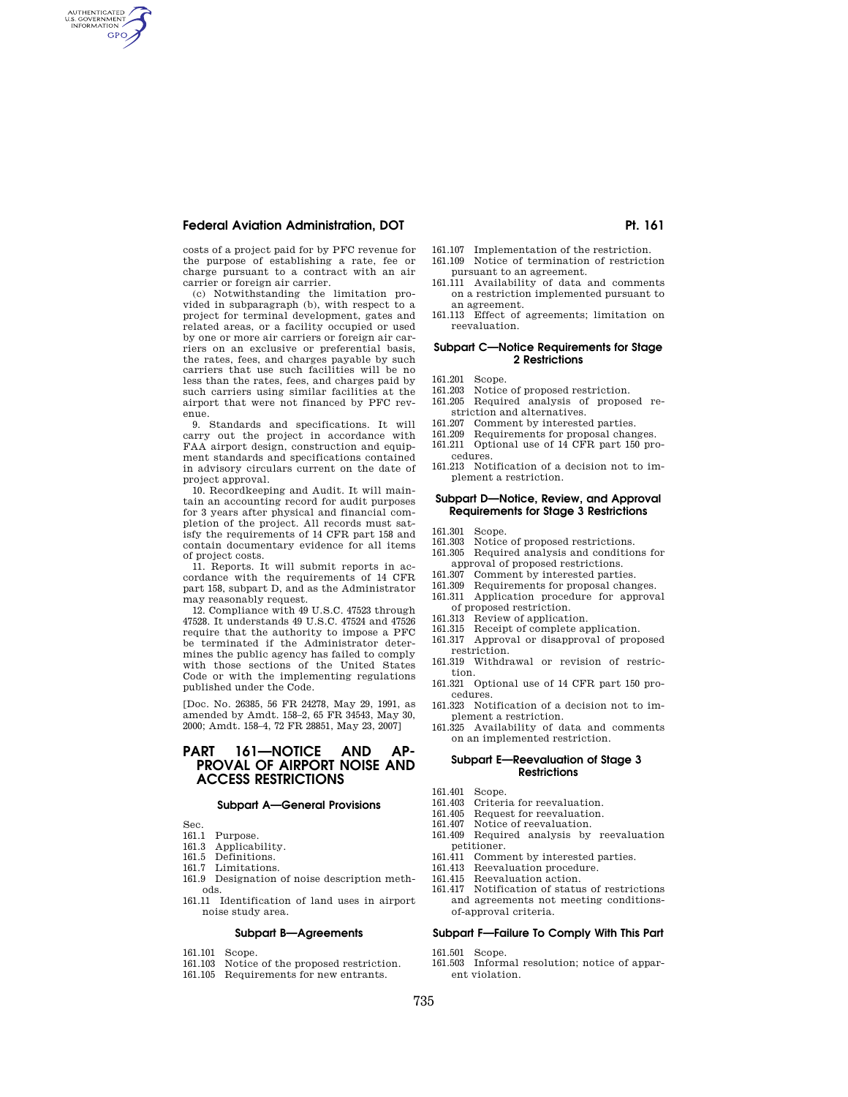AUTHENTICATED<br>U.S. GOVERNMENT<br>INFORMATION **GPO** 

> costs of a project paid for by PFC revenue for the purpose of establishing a rate, fee or charge pursuant to a contract with an air carrier or foreign air carrier.

> (c) Notwithstanding the limitation pro-vided in subparagraph (b), with respect to a project for terminal development, gates and related areas, or a facility occupied or used by one or more air carriers or foreign air carriers on an exclusive or preferential basis, the rates, fees, and charges payable by such carriers that use such facilities will be no less than the rates, fees, and charges paid by such carriers using similar facilities at the airport that were not financed by PFC revenue.

> 9. Standards and specifications. It will carry out the project in accordance with FAA airport design, construction and equipment standards and specifications contained in advisory circulars current on the date of project approval.

> 10. Recordkeeping and Audit. It will maintain an accounting record for audit purposes for 3 years after physical and financial completion of the project. All records must satisfy the requirements of 14 CFR part 158 and contain documentary evidence for all items of project costs.

> 11. Reports. It will submit reports in accordance with the requirements of 14 CFR part 158, subpart D, and as the Administrator may reasonably request.

> 12. Compliance with 49 U.S.C. 47523 through 47528. It understands 49 U.S.C. 47524 and 47526 require that the authority to impose a PFC be terminated if the Administrator determines the public agency has failed to comply with those sections of the United States Code or with the implementing regulations published under the Code.

> [Doc. No. 26385, 56 FR 24278, May 29, 1991, as amended by Amdt. 158–2, 65 FR 34543, May 30, 2000; Amdt. 158–4, 72 FR 28851, May 23, 2007]

# **PART 161—NOTICE AND AP-PROVAL OF AIRPORT NOISE AND ACCESS RESTRICTIONS**

#### **Subpart A—General Provisions**

Sec.

- 161.1 Purpose.
- 161.3 Applicability.
- 161.5 Definitions.
- 161.7 Limitations.
- 161.9 Designation of noise description methods.
- 161.11 Identification of land uses in airport noise study area.

# **Subpart B—Agreements**

- 161.101 Scope.<br>161.103 Notice
- Notice of the proposed restriction.
- 161.105 Requirements for new entrants.
- 161.107 Implementation of the restriction.
- 161.109 Notice of termination of restriction pursuant to an agreement.
- 161.111 Availability of data and comments on a restriction implemented pursuant to an agreement.
- 161.113 Effect of agreements; limitation on reevaluation.

#### **Subpart C—Notice Requirements for Stage 2 Restrictions**

- 161.201 Scope.<br>161.203 Notice
- Notice of proposed restriction.
- 161.205 Required analysis of proposed restriction and alternatives.
- 161.207 Comment by interested parties.<br>161.209 Requirements for proposal chan
- Requirements for proposal changes.
- 161.211 Optional use of 14 CFR part 150 procedures.
- 161.213 Notification of a decision not to implement a restriction.

### **Subpart D—Notice, Review, and Approval Requirements for Stage 3 Restrictions**

- 161.301 Scope.<br>161.303 Notice
- 161.303 Notice of proposed restrictions.<br>161.305 Required analysis and condition
- Required analysis and conditions for approval of proposed restrictions.
- 161.307 Comment by interested parties.
- 161.309 Requirements for proposal changes.
- 161.311 Application procedure for approval of proposed restriction.
- 161.313 Review of application.
- 161.315 Receipt of complete application.
- 161.317 Approval or disapproval of proposed restriction.
- 161.319 Withdrawal or revision of restriction.
- 161.321 Optional use of 14 CFR part 150 procedures.
- 161.323 Notification of a decision not to implement a restriction.
- 161.325 Availability of data and comments on an implemented restriction.

### **Subpart E—Reevaluation of Stage 3 Restrictions**

- 161.401 Scope.
- 161.403 Criteria for reevaluation.
- Request for reevaluation.
- 161.407 Notice of reevaluation.<br>161.409 Required analysis by
- Required analysis by reevaluation petitioner.<br>161.411 Comm
	- Comment by interested parties.
- 161.413 Reevaluation procedure.
- 161.415 Reevaluation action.
- 161.417 Notification of status of restrictions and agreements not meeting conditionsof-approval criteria.

#### **Subpart F—Failure To Comply With This Part**

161.501 Scope.

161.503 Informal resolution; notice of apparent violation.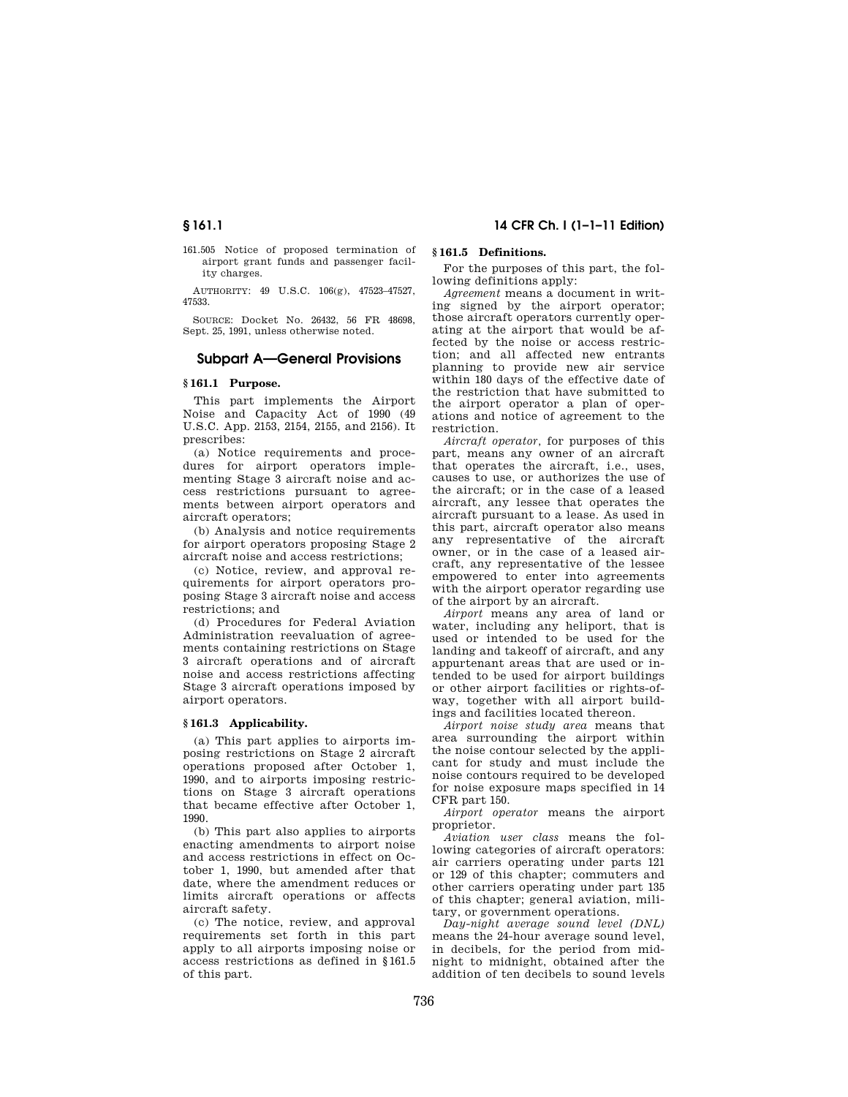161.505 Notice of proposed termination of airport grant funds and passenger facility charges.

AUTHORITY: 49 U.S.C. 106(g), 47523–47527, 47533.

SOURCE: Docket No. 26432, 56 FR 48698, Sept. 25, 1991, unless otherwise noted.

## **Subpart A—General Provisions**

## **§ 161.1 Purpose.**

This part implements the Airport Noise and Capacity Act of 1990 (49 U.S.C. App. 2153, 2154, 2155, and 2156). It prescribes:

(a) Notice requirements and procedures for airport operators implementing Stage 3 aircraft noise and access restrictions pursuant to agreements between airport operators and aircraft operators;

(b) Analysis and notice requirements for airport operators proposing Stage 2 aircraft noise and access restrictions;

(c) Notice, review, and approval requirements for airport operators proposing Stage 3 aircraft noise and access restrictions; and

(d) Procedures for Federal Aviation Administration reevaluation of agreements containing restrictions on Stage 3 aircraft operations and of aircraft noise and access restrictions affecting Stage 3 aircraft operations imposed by airport operators.

## **§ 161.3 Applicability.**

(a) This part applies to airports imposing restrictions on Stage 2 aircraft operations proposed after October 1, 1990, and to airports imposing restrictions on Stage 3 aircraft operations that became effective after October 1, 1990.

(b) This part also applies to airports enacting amendments to airport noise and access restrictions in effect on October 1, 1990, but amended after that date, where the amendment reduces or limits aircraft operations or affects aircraft safety.

(c) The notice, review, and approval requirements set forth in this part apply to all airports imposing noise or access restrictions as defined in §161.5 of this part.

# **§ 161.1 14 CFR Ch. I (1–1–11 Edition)**

# **§ 161.5 Definitions.**

For the purposes of this part, the following definitions apply:

*Agreement* means a document in writing signed by the airport operator; those aircraft operators currently operating at the airport that would be affected by the noise or access restriction; and all affected new entrants planning to provide new air service within 180 days of the effective date of the restriction that have submitted to the airport operator a plan of operations and notice of agreement to the restriction.

*Aircraft operator,* for purposes of this part, means any owner of an aircraft that operates the aircraft, i.e., uses, causes to use, or authorizes the use of the aircraft; or in the case of a leased aircraft, any lessee that operates the aircraft pursuant to a lease. As used in this part, aircraft operator also means any representative of the aircraft owner, or in the case of a leased aircraft, any representative of the lessee empowered to enter into agreements with the airport operator regarding use of the airport by an aircraft.

*Airport* means any area of land or water, including any heliport, that is used or intended to be used for the landing and takeoff of aircraft, and any appurtenant areas that are used or intended to be used for airport buildings or other airport facilities or rights-ofway, together with all airport buildings and facilities located thereon.

*Airport noise study area* means that area surrounding the airport within the noise contour selected by the applicant for study and must include the noise contours required to be developed for noise exposure maps specified in 14 CFR part 150.

*Airport operator* means the airport proprietor.

*Aviation user class* means the following categories of aircraft operators: air carriers operating under parts 121 or 129 of this chapter; commuters and other carriers operating under part 135 of this chapter; general aviation, military, or government operations.

*Day-night average sound level (DNL)*  means the 24-hour average sound level, in decibels, for the period from midnight to midnight, obtained after the addition of ten decibels to sound levels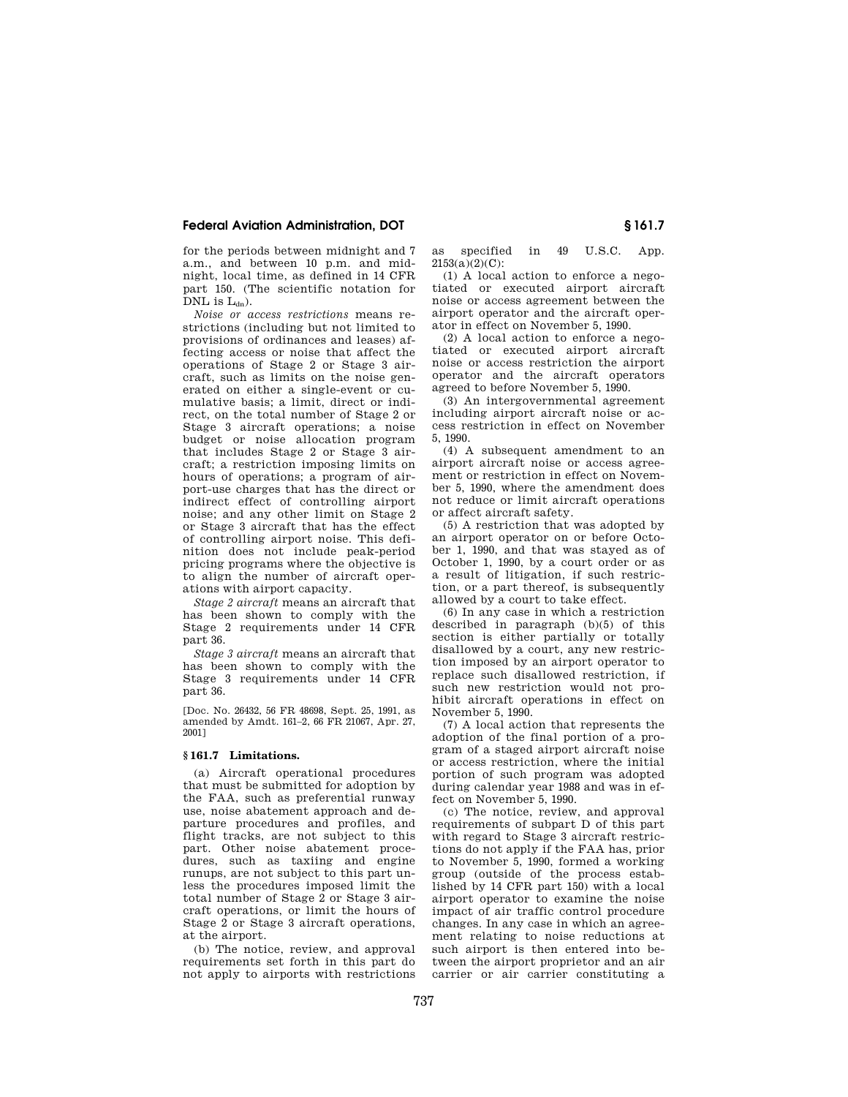for the periods between midnight and 7 a.m., and between 10 p.m. and midnight, local time, as defined in 14 CFR part 150. (The scientific notation for DNL is  $L_{dn}$ ).

*Noise or access restrictions* means restrictions (including but not limited to provisions of ordinances and leases) affecting access or noise that affect the operations of Stage 2 or Stage 3 aircraft, such as limits on the noise generated on either a single-event or cumulative basis; a limit, direct or indirect, on the total number of Stage 2 or Stage 3 aircraft operations; a noise budget or noise allocation program that includes Stage 2 or Stage 3 aircraft; a restriction imposing limits on hours of operations; a program of airport-use charges that has the direct or indirect effect of controlling airport noise; and any other limit on Stage 2 or Stage 3 aircraft that has the effect of controlling airport noise. This definition does not include peak-period pricing programs where the objective is to align the number of aircraft operations with airport capacity.

*Stage 2 aircraft* means an aircraft that has been shown to comply with the Stage 2 requirements under 14 CFR part 36.

*Stage 3 aircraft* means an aircraft that has been shown to comply with the Stage 3 requirements under 14 CFR part 36.

[Doc. No. 26432, 56 FR 48698, Sept. 25, 1991, as amended by Amdt. 161–2, 66 FR 21067, Apr. 27, 2001]

## **§ 161.7 Limitations.**

(a) Aircraft operational procedures that must be submitted for adoption by the FAA, such as preferential runway use, noise abatement approach and departure procedures and profiles, and flight tracks, are not subject to this part. Other noise abatement procedures, such as taxiing and engine runups, are not subject to this part unless the procedures imposed limit the total number of Stage 2 or Stage 3 aircraft operations, or limit the hours of Stage 2 or Stage 3 aircraft operations, at the airport.

(b) The notice, review, and approval requirements set forth in this part do not apply to airports with restrictions as specified in 49 U.S.C. App.  $2153(a)(2)(C)$ :

(1) A local action to enforce a negotiated or executed airport aircraft noise or access agreement between the airport operator and the aircraft operator in effect on November 5, 1990.

(2) A local action to enforce a negotiated or executed airport aircraft noise or access restriction the airport operator and the aircraft operators agreed to before November 5, 1990.

(3) An intergovernmental agreement including airport aircraft noise or access restriction in effect on November 5, 1990.

(4) A subsequent amendment to an airport aircraft noise or access agreement or restriction in effect on November 5, 1990, where the amendment does not reduce or limit aircraft operations or affect aircraft safety.

(5) A restriction that was adopted by an airport operator on or before October 1, 1990, and that was stayed as of October 1, 1990, by a court order or as a result of litigation, if such restriction, or a part thereof, is subsequently allowed by a court to take effect.

(6) In any case in which a restriction described in paragraph (b)(5) of this section is either partially or totally disallowed by a court, any new restriction imposed by an airport operator to replace such disallowed restriction, if such new restriction would not prohibit aircraft operations in effect on November 5, 1990.

(7) A local action that represents the adoption of the final portion of a program of a staged airport aircraft noise or access restriction, where the initial portion of such program was adopted during calendar year 1988 and was in effect on November 5, 1990.

(c) The notice, review, and approval requirements of subpart D of this part with regard to Stage 3 aircraft restrictions do not apply if the FAA has, prior to November 5, 1990, formed a working group (outside of the process established by 14 CFR part 150) with a local airport operator to examine the noise impact of air traffic control procedure changes. In any case in which an agreement relating to noise reductions at such airport is then entered into between the airport proprietor and an air carrier or air carrier constituting a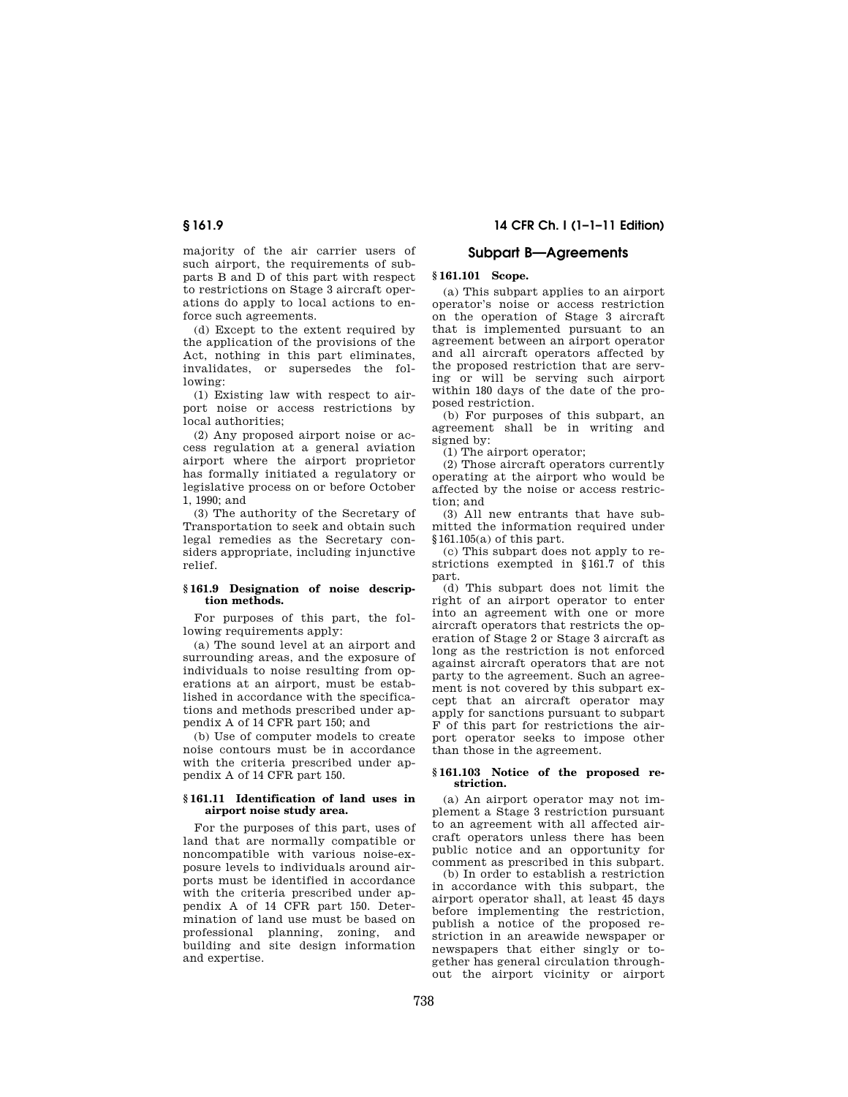majority of the air carrier users of such airport, the requirements of subparts B and D of this part with respect to restrictions on Stage 3 aircraft operations do apply to local actions to enforce such agreements.

(d) Except to the extent required by the application of the provisions of the Act, nothing in this part eliminates, invalidates, or supersedes the following:

(1) Existing law with respect to airport noise or access restrictions by local authorities;

(2) Any proposed airport noise or access regulation at a general aviation airport where the airport proprietor has formally initiated a regulatory or legislative process on or before October 1, 1990; and

(3) The authority of the Secretary of Transportation to seek and obtain such legal remedies as the Secretary considers appropriate, including injunctive relief.

## **§ 161.9 Designation of noise description methods.**

For purposes of this part, the following requirements apply:

(a) The sound level at an airport and surrounding areas, and the exposure of individuals to noise resulting from operations at an airport, must be established in accordance with the specifications and methods prescribed under appendix A of 14 CFR part 150; and

(b) Use of computer models to create noise contours must be in accordance with the criteria prescribed under appendix A of 14 CFR part 150.

## **§ 161.11 Identification of land uses in airport noise study area.**

For the purposes of this part, uses of land that are normally compatible or noncompatible with various noise-exposure levels to individuals around airports must be identified in accordance with the criteria prescribed under appendix A of 14 CFR part 150. Determination of land use must be based on professional planning, zoning, and building and site design information and expertise.

# **§ 161.9 14 CFR Ch. I (1–1–11 Edition)**

# **Subpart B—Agreements**

# **§ 161.101 Scope.**

(a) This subpart applies to an airport operator's noise or access restriction on the operation of Stage 3 aircraft that is implemented pursuant to an agreement between an airport operator and all aircraft operators affected by the proposed restriction that are serving or will be serving such airport within 180 days of the date of the proposed restriction.

(b) For purposes of this subpart, an agreement shall be in writing and signed by:

(1) The airport operator;

(2) Those aircraft operators currently operating at the airport who would be affected by the noise or access restriction; and

(3) All new entrants that have submitted the information required under §161.105(a) of this part.

(c) This subpart does not apply to restrictions exempted in §161.7 of this part.

(d) This subpart does not limit the right of an airport operator to enter into an agreement with one or more aircraft operators that restricts the operation of Stage 2 or Stage 3 aircraft as long as the restriction is not enforced against aircraft operators that are not party to the agreement. Such an agreement is not covered by this subpart except that an aircraft operator may apply for sanctions pursuant to subpart F of this part for restrictions the airport operator seeks to impose other than those in the agreement.

## **§ 161.103 Notice of the proposed restriction.**

(a) An airport operator may not implement a Stage 3 restriction pursuant to an agreement with all affected aircraft operators unless there has been public notice and an opportunity for comment as prescribed in this subpart.

(b) In order to establish a restriction in accordance with this subpart, the airport operator shall, at least 45 days before implementing the restriction, publish a notice of the proposed restriction in an areawide newspaper or newspapers that either singly or together has general circulation throughout the airport vicinity or airport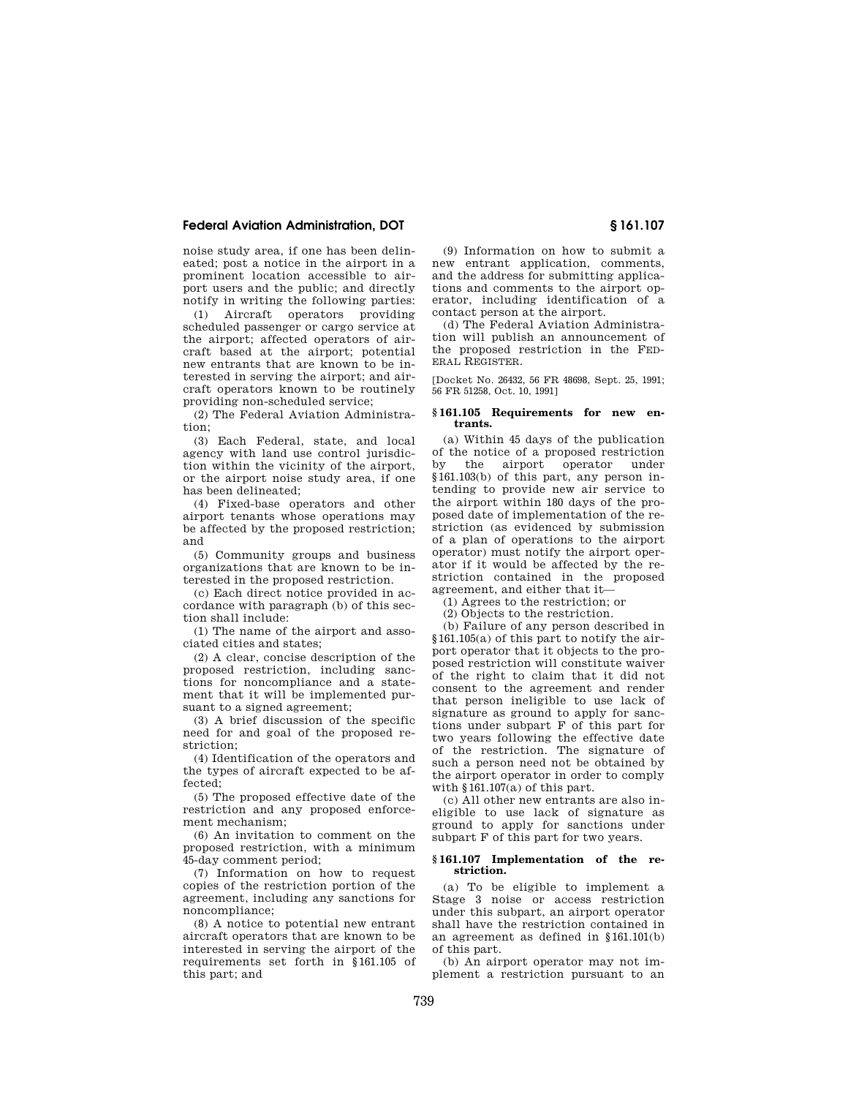noise study area, if one has been delineated; post a notice in the airport in a prominent location accessible to airport users and the public; and directly notify in writing the following parties:

(1) Aircraft operators providing scheduled passenger or cargo service at the airport; affected operators of aircraft based at the airport; potential new entrants that are known to be interested in serving the airport; and aircraft operators known to be routinely providing non-scheduled service;

(2) The Federal Aviation Administration;

(3) Each Federal, state, and local agency with land use control jurisdiction within the vicinity of the airport, or the airport noise study area, if one has been delineated;

(4) Fixed-base operators and other airport tenants whose operations may be affected by the proposed restriction; and

(5) Community groups and business organizations that are known to be interested in the proposed restriction.

(c) Each direct notice provided in accordance with paragraph (b) of this section shall include:

(1) The name of the airport and associated cities and states;

(2) A clear, concise description of the proposed restriction, including sanctions for noncompliance and a statement that it will be implemented pursuant to a signed agreement;

(3) A brief discussion of the specific need for and goal of the proposed restriction;

(4) Identification of the operators and the types of aircraft expected to be affected;

(5) The proposed effective date of the restriction and any proposed enforcement mechanism;

(6) An invitation to comment on the proposed restriction, with a minimum 45-day comment period;

(7) Information on how to request copies of the restriction portion of the agreement, including any sanctions for noncompliance;

(8) A notice to potential new entrant aircraft operators that are known to be interested in serving the airport of the requirements set forth in §161.105 of this part; and

(9) Information on how to submit a new entrant application, comments, and the address for submitting applications and comments to the airport operator, including identification of a contact person at the airport.

(d) The Federal Aviation Administration will publish an announcement of the proposed restriction in the FED-ERAL REGISTER.

[Docket No. 26432, 56 FR 48698, Sept. 25, 1991; 56 FR 51258, Oct. 10, 1991]

#### **§ 161.105 Requirements for new entrants.**

(a) Within 45 days of the publication of the notice of a proposed restriction<br>by the airport operator under the airport operator under §161.103(b) of this part, any person intending to provide new air service to the airport within 180 days of the proposed date of implementation of the restriction (as evidenced by submission of a plan of operations to the airport operator) must notify the airport operator if it would be affected by the restriction contained in the proposed agreement, and either that it—

(1) Agrees to the restriction; or

(2) Objects to the restriction.

(b) Failure of any person described in §161.105(a) of this part to notify the airport operator that it objects to the proposed restriction will constitute waiver of the right to claim that it did not consent to the agreement and render that person ineligible to use lack of signature as ground to apply for sanctions under subpart F of this part for two years following the effective date of the restriction. The signature of such a person need not be obtained by the airport operator in order to comply with §161.107(a) of this part.

(c) All other new entrants are also ineligible to use lack of signature as ground to apply for sanctions under subpart F of this part for two years.

## **§ 161.107 Implementation of the restriction.**

(a) To be eligible to implement a Stage 3 noise or access restriction under this subpart, an airport operator shall have the restriction contained in an agreement as defined in §161.101(b) of this part.

(b) An airport operator may not implement a restriction pursuant to an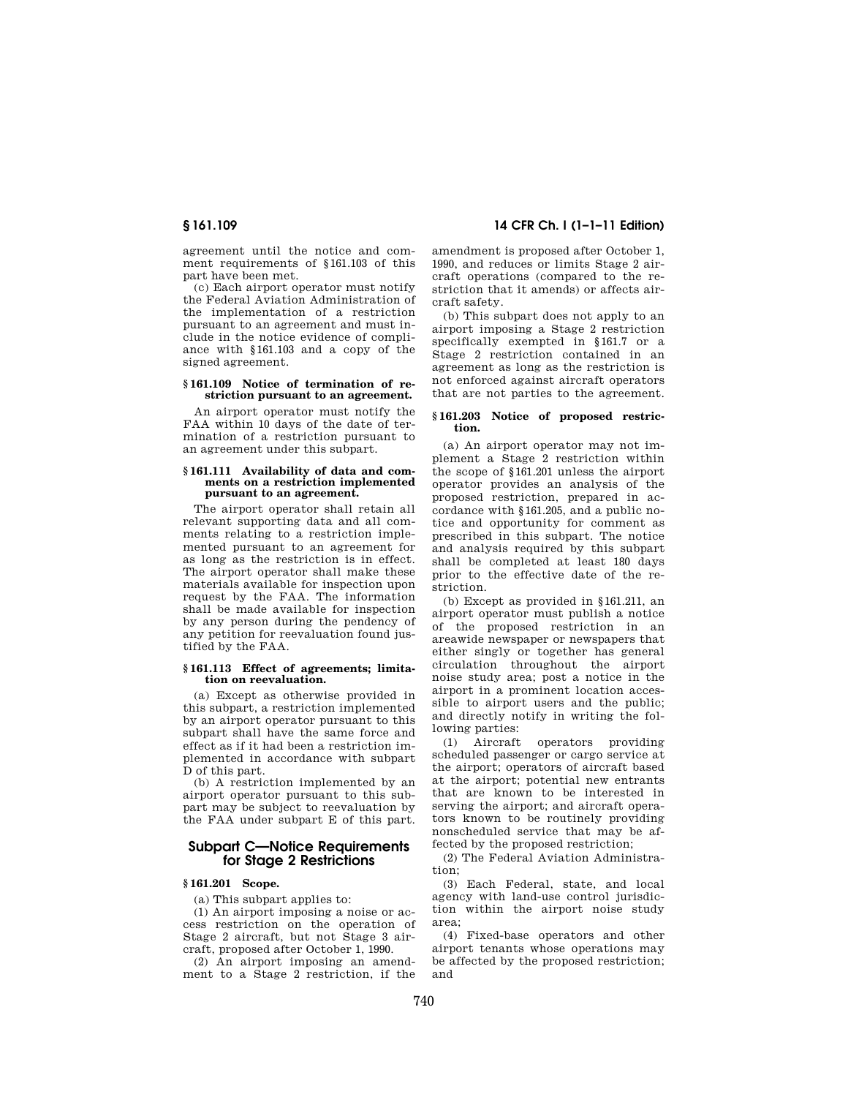agreement until the notice and comment requirements of §161.103 of this part have been met.

(c) Each airport operator must notify the Federal Aviation Administration of the implementation of a restriction pursuant to an agreement and must include in the notice evidence of compliance with §161.103 and a copy of the signed agreement.

#### **§ 161.109 Notice of termination of restriction pursuant to an agreement.**

An airport operator must notify the FAA within 10 days of the date of termination of a restriction pursuant to an agreement under this subpart.

#### **§ 161.111 Availability of data and comments on a restriction implemented pursuant to an agreement.**

The airport operator shall retain all relevant supporting data and all comments relating to a restriction implemented pursuant to an agreement for as long as the restriction is in effect. The airport operator shall make these materials available for inspection upon request by the FAA. The information shall be made available for inspection by any person during the pendency of any petition for reevaluation found justified by the FAA.

## **§ 161.113 Effect of agreements; limitation on reevaluation.**

(a) Except as otherwise provided in this subpart, a restriction implemented by an airport operator pursuant to this subpart shall have the same force and effect as if it had been a restriction implemented in accordance with subpart D of this part.

(b) A restriction implemented by an airport operator pursuant to this subpart may be subject to reevaluation by the FAA under subpart E of this part.

# **Subpart C—Notice Requirements for Stage 2 Restrictions**

## **§ 161.201 Scope.**

(a) This subpart applies to:

(1) An airport imposing a noise or access restriction on the operation of Stage 2 aircraft, but not Stage 3 aircraft, proposed after October 1, 1990.

(2) An airport imposing an amendment to a Stage 2 restriction, if the

**§ 161.109 14 CFR Ch. I (1–1–11 Edition)** 

amendment is proposed after October 1, 1990, and reduces or limits Stage 2 aircraft operations (compared to the restriction that it amends) or affects aircraft safety.

(b) This subpart does not apply to an airport imposing a Stage 2 restriction specifically exempted in §161.7 or a Stage 2 restriction contained in an agreement as long as the restriction is not enforced against aircraft operators that are not parties to the agreement.

#### **§ 161.203 Notice of proposed restriction.**

(a) An airport operator may not implement a Stage 2 restriction within the scope of §161.201 unless the airport operator provides an analysis of the proposed restriction, prepared in accordance with §161.205, and a public notice and opportunity for comment as prescribed in this subpart. The notice and analysis required by this subpart shall be completed at least 180 days prior to the effective date of the restriction.

(b) Except as provided in §161.211, an airport operator must publish a notice of the proposed restriction in an areawide newspaper or newspapers that either singly or together has general circulation throughout the airport noise study area; post a notice in the airport in a prominent location accessible to airport users and the public; and directly notify in writing the following parties:

(1) Aircraft operators providing scheduled passenger or cargo service at the airport; operators of aircraft based at the airport; potential new entrants that are known to be interested in serving the airport; and aircraft operators known to be routinely providing nonscheduled service that may be affected by the proposed restriction;

(2) The Federal Aviation Administration;

(3) Each Federal, state, and local agency with land-use control jurisdiction within the airport noise study area;

(4) Fixed-base operators and other airport tenants whose operations may be affected by the proposed restriction; and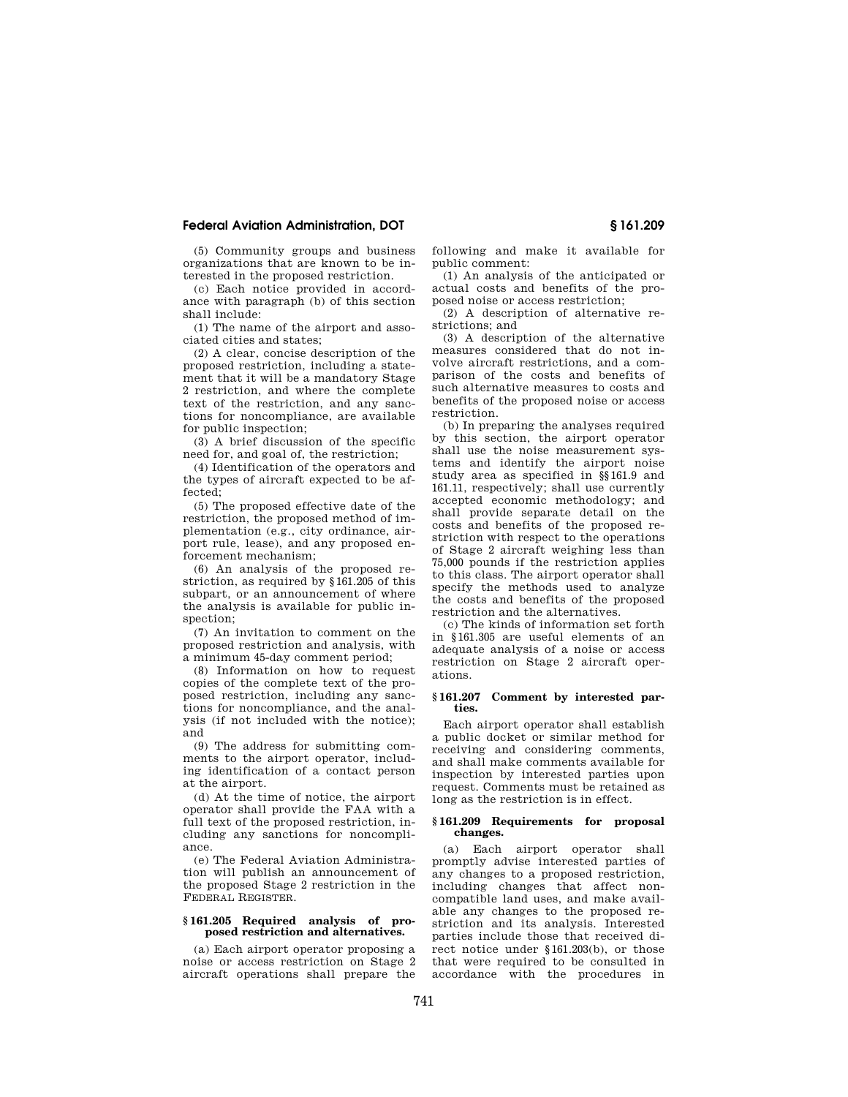(5) Community groups and business organizations that are known to be interested in the proposed restriction.

(c) Each notice provided in accordance with paragraph (b) of this section shall include:

(1) The name of the airport and associated cities and states;

(2) A clear, concise description of the proposed restriction, including a statement that it will be a mandatory Stage 2 restriction, and where the complete text of the restriction, and any sanctions for noncompliance, are available for public inspection;

(3) A brief discussion of the specific need for, and goal of, the restriction;

(4) Identification of the operators and the types of aircraft expected to be affected;

(5) The proposed effective date of the restriction, the proposed method of implementation (e.g., city ordinance, airport rule, lease), and any proposed enforcement mechanism;

(6) An analysis of the proposed restriction, as required by §161.205 of this subpart, or an announcement of where the analysis is available for public inspection;

(7) An invitation to comment on the proposed restriction and analysis, with a minimum 45-day comment period;

(8) Information on how to request copies of the complete text of the proposed restriction, including any sanctions for noncompliance, and the analysis (if not included with the notice); and

(9) The address for submitting comments to the airport operator, including identification of a contact person at the airport.

(d) At the time of notice, the airport operator shall provide the FAA with a full text of the proposed restriction, including any sanctions for noncompliance.

(e) The Federal Aviation Administration will publish an announcement of the proposed Stage 2 restriction in the FEDERAL REGISTER.

## **§ 161.205 Required analysis of proposed restriction and alternatives.**

(a) Each airport operator proposing a noise or access restriction on Stage 2 aircraft operations shall prepare the following and make it available for public comment:

(1) An analysis of the anticipated or actual costs and benefits of the proposed noise or access restriction;

(2) A description of alternative restrictions; and

(3) A description of the alternative measures considered that do not involve aircraft restrictions, and a comparison of the costs and benefits of such alternative measures to costs and benefits of the proposed noise or access restriction.

(b) In preparing the analyses required by this section, the airport operator shall use the noise measurement systems and identify the airport noise study area as specified in §§161.9 and 161.11, respectively; shall use currently accepted economic methodology; and shall provide separate detail on the costs and benefits of the proposed restriction with respect to the operations of Stage 2 aircraft weighing less than 75,000 pounds if the restriction applies to this class. The airport operator shall specify the methods used to analyze the costs and benefits of the proposed restriction and the alternatives.

(c) The kinds of information set forth in §161.305 are useful elements of an adequate analysis of a noise or access restriction on Stage 2 aircraft operations.

#### **§ 161.207 Comment by interested parties.**

Each airport operator shall establish a public docket or similar method for receiving and considering comments, and shall make comments available for inspection by interested parties upon request. Comments must be retained as long as the restriction is in effect.

#### **§ 161.209 Requirements for proposal changes.**

(a) Each airport operator shall promptly advise interested parties of any changes to a proposed restriction, including changes that affect noncompatible land uses, and make available any changes to the proposed restriction and its analysis. Interested parties include those that received direct notice under §161.203(b), or those that were required to be consulted in accordance with the procedures in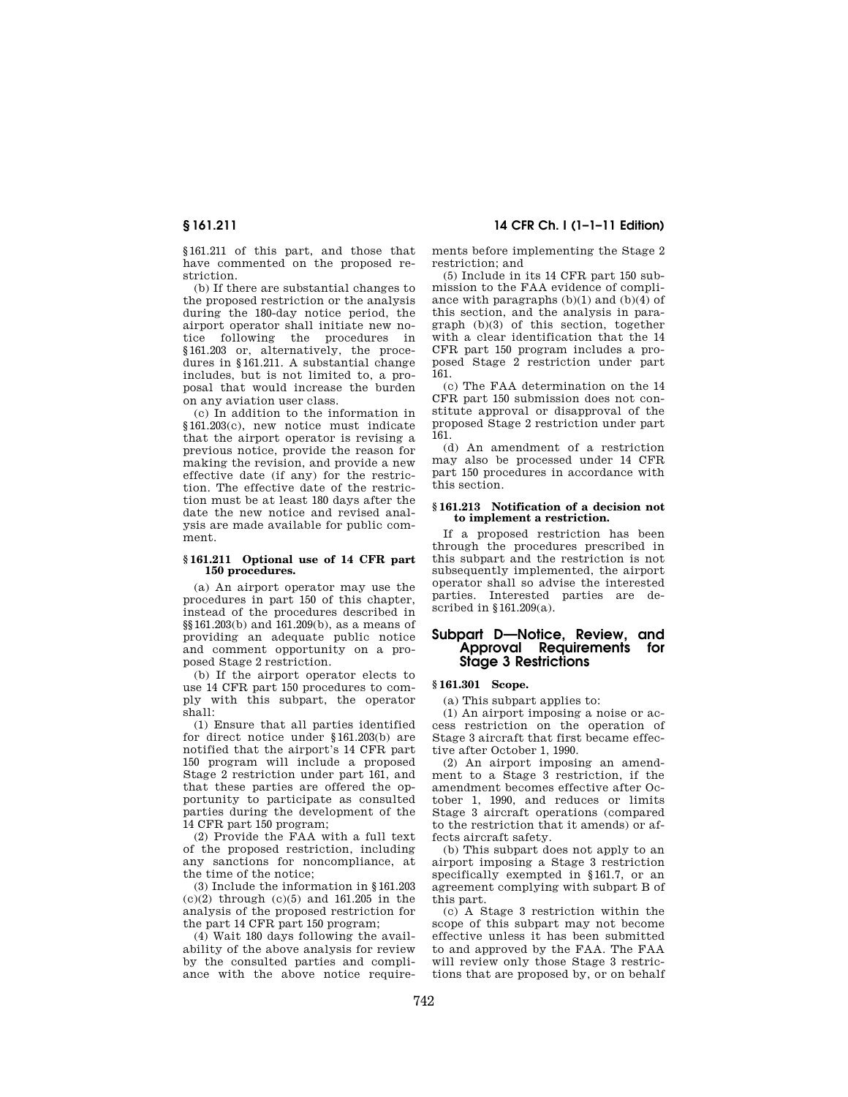§161.211 of this part, and those that have commented on the proposed restriction.

(b) If there are substantial changes to the proposed restriction or the analysis during the 180-day notice period, the airport operator shall initiate new notice following the procedures in §161.203 or, alternatively, the procedures in §161.211. A substantial change includes, but is not limited to, a proposal that would increase the burden on any aviation user class.

(c) In addition to the information in §161.203(c), new notice must indicate that the airport operator is revising a previous notice, provide the reason for making the revision, and provide a new effective date (if any) for the restriction. The effective date of the restriction must be at least 180 days after the date the new notice and revised analysis are made available for public comment.

#### **§ 161.211 Optional use of 14 CFR part 150 procedures.**

(a) An airport operator may use the procedures in part 150 of this chapter, instead of the procedures described in §§161.203(b) and 161.209(b), as a means of providing an adequate public notice and comment opportunity on a proposed Stage 2 restriction.

(b) If the airport operator elects to use 14 CFR part 150 procedures to comply with this subpart, the operator shall:

(1) Ensure that all parties identified for direct notice under \$161.203(b) are notified that the airport's 14 CFR part 150 program will include a proposed Stage 2 restriction under part 161, and that these parties are offered the opportunity to participate as consulted parties during the development of the 14 CFR part 150 program;

(2) Provide the FAA with a full text of the proposed restriction, including any sanctions for noncompliance, at the time of the notice;

(3) Include the information in §161.203  $(c)(2)$  through  $(c)(5)$  and 161.205 in the analysis of the proposed restriction for the part 14 CFR part 150 program;

(4) Wait 180 days following the availability of the above analysis for review by the consulted parties and compliance with the above notice require-

**§ 161.211 14 CFR Ch. I (1–1–11 Edition)** 

ments before implementing the Stage 2 restriction; and

(5) Include in its 14 CFR part 150 submission to the FAA evidence of compliance with paragraphs  $(b)(1)$  and  $(b)(4)$  of this section, and the analysis in paragraph (b)(3) of this section, together with a clear identification that the 14 CFR part 150 program includes a proposed Stage 2 restriction under part 161.

(c) The FAA determination on the 14 CFR part 150 submission does not constitute approval or disapproval of the proposed Stage 2 restriction under part 161.

(d) An amendment of a restriction may also be processed under 14 CFR part 150 procedures in accordance with this section.

## **§ 161.213 Notification of a decision not to implement a restriction.**

If a proposed restriction has been through the procedures prescribed in this subpart and the restriction is not subsequently implemented, the airport operator shall so advise the interested parties. Interested parties are described in  $§161.209(a)$ .

# **Subpart D—Notice, Review, and Approval Requirements for Stage 3 Restrictions**

# **§ 161.301 Scope.**

(a) This subpart applies to:

(1) An airport imposing a noise or access restriction on the operation of Stage 3 aircraft that first became effective after October 1, 1990.

(2) An airport imposing an amendment to a Stage 3 restriction, if the amendment becomes effective after October 1, 1990, and reduces or limits Stage 3 aircraft operations (compared to the restriction that it amends) or affects aircraft safety.

(b) This subpart does not apply to an airport imposing a Stage 3 restriction specifically exempted in §161.7, or an agreement complying with subpart B of this part.

(c) A Stage 3 restriction within the scope of this subpart may not become effective unless it has been submitted to and approved by the FAA. The FAA will review only those Stage 3 restrictions that are proposed by, or on behalf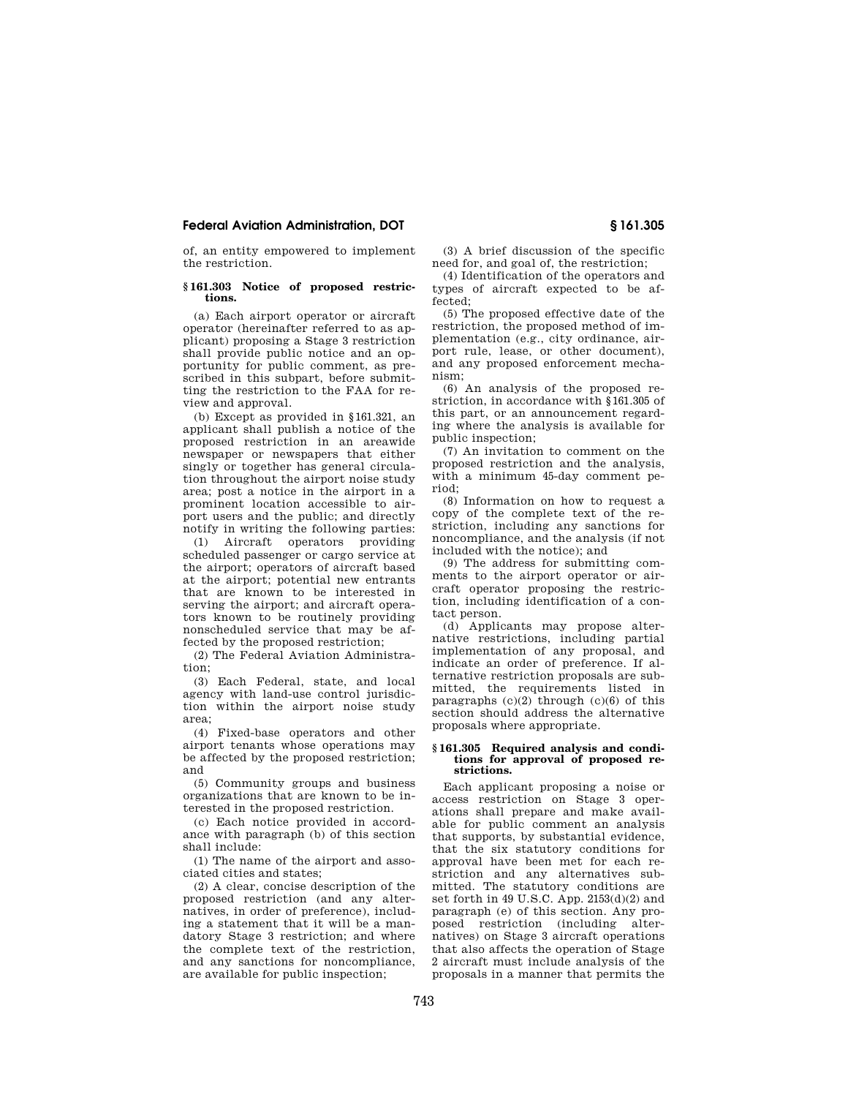of, an entity empowered to implement the restriction.

## **§ 161.303 Notice of proposed restrictions.**

(a) Each airport operator or aircraft operator (hereinafter referred to as applicant) proposing a Stage 3 restriction shall provide public notice and an opportunity for public comment, as prescribed in this subpart, before submitting the restriction to the FAA for review and approval.

(b) Except as provided in §161.321, an applicant shall publish a notice of the proposed restriction in an areawide newspaper or newspapers that either singly or together has general circulation throughout the airport noise study area; post a notice in the airport in a prominent location accessible to airport users and the public; and directly notify in writing the following parties:

(1) Aircraft operators providing scheduled passenger or cargo service at the airport; operators of aircraft based at the airport; potential new entrants that are known to be interested in serving the airport; and aircraft operators known to be routinely providing nonscheduled service that may be affected by the proposed restriction;

(2) The Federal Aviation Administration;

(3) Each Federal, state, and local agency with land-use control jurisdiction within the airport noise study area;

(4) Fixed-base operators and other airport tenants whose operations may be affected by the proposed restriction; and

(5) Community groups and business organizations that are known to be interested in the proposed restriction.

(c) Each notice provided in accordance with paragraph (b) of this section shall include:

(1) The name of the airport and associated cities and states;

(2) A clear, concise description of the proposed restriction (and any alternatives, in order of preference), including a statement that it will be a mandatory Stage 3 restriction; and where the complete text of the restriction, and any sanctions for noncompliance, are available for public inspection;

(3) A brief discussion of the specific need for, and goal of, the restriction;

(4) Identification of the operators and types of aircraft expected to be affected;

(5) The proposed effective date of the restriction, the proposed method of implementation (e.g., city ordinance, airport rule, lease, or other document), and any proposed enforcement mechanism;

(6) An analysis of the proposed restriction, in accordance with §161.305 of this part, or an announcement regarding where the analysis is available for public inspection;

(7) An invitation to comment on the proposed restriction and the analysis, with a minimum 45-day comment period;

(8) Information on how to request a copy of the complete text of the restriction, including any sanctions for noncompliance, and the analysis (if not included with the notice); and

(9) The address for submitting comments to the airport operator or aircraft operator proposing the restriction, including identification of a contact person.

(d) Applicants may propose alternative restrictions, including partial implementation of any proposal, and indicate an order of preference. If alternative restriction proposals are submitted, the requirements listed in paragraphs  $(c)(2)$  through  $(c)(6)$  of this section should address the alternative proposals where appropriate.

#### **§ 161.305 Required analysis and conditions for approval of proposed restrictions.**

Each applicant proposing a noise or access restriction on Stage 3 operations shall prepare and make available for public comment an analysis that supports, by substantial evidence, that the six statutory conditions for approval have been met for each restriction and any alternatives submitted. The statutory conditions are set forth in 49 U.S.C. App.  $2153(d)(2)$  and paragraph (e) of this section. Any proposed restriction (including alternatives) on Stage 3 aircraft operations that also affects the operation of Stage 2 aircraft must include analysis of the proposals in a manner that permits the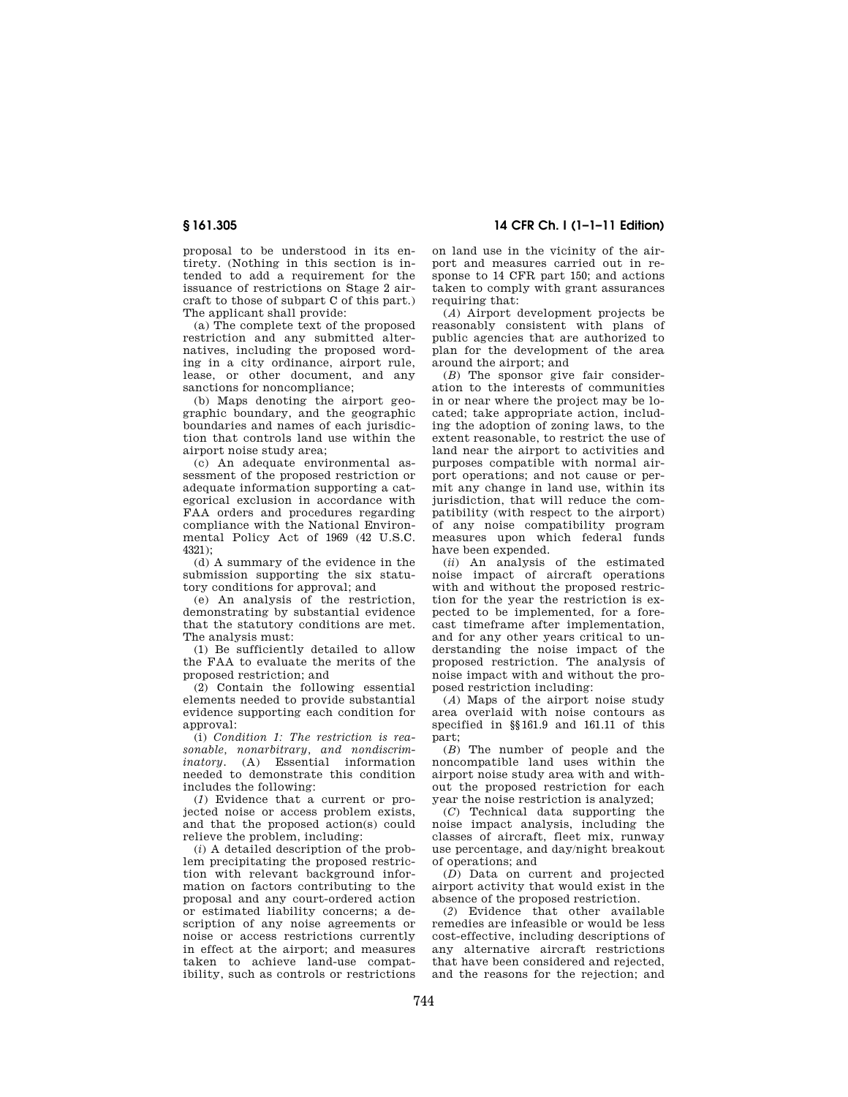proposal to be understood in its entirety. (Nothing in this section is intended to add a requirement for the issuance of restrictions on Stage 2 aircraft to those of subpart C of this part.) The applicant shall provide:

(a) The complete text of the proposed restriction and any submitted alternatives, including the proposed wording in a city ordinance, airport rule, lease, or other document, and any sanctions for noncompliance;

(b) Maps denoting the airport geographic boundary, and the geographic boundaries and names of each jurisdiction that controls land use within the airport noise study area;

(c) An adequate environmental assessment of the proposed restriction or adequate information supporting a categorical exclusion in accordance with FAA orders and procedures regarding compliance with the National Environmental Policy Act of 1969 (42 U.S.C.  $4321$ 

(d) A summary of the evidence in the submission supporting the six statutory conditions for approval; and

(e) An analysis of the restriction, demonstrating by substantial evidence that the statutory conditions are met. The analysis must:

(1) Be sufficiently detailed to allow the FAA to evaluate the merits of the proposed restriction; and

(2) Contain the following essential elements needed to provide substantial evidence supporting each condition for approval:

(i) *Condition 1: The restriction is reasonable, nonarbitrary, and nondiscriminatory.* (A) Essential information needed to demonstrate this condition includes the following:

(*1*) Evidence that a current or projected noise or access problem exists, and that the proposed action(s) could relieve the problem, including:

(*i*) A detailed description of the problem precipitating the proposed restriction with relevant background information on factors contributing to the proposal and any court-ordered action or estimated liability concerns; a description of any noise agreements or noise or access restrictions currently in effect at the airport; and measures taken to achieve land-use compatibility, such as controls or restrictions

**§ 161.305 14 CFR Ch. I (1–1–11 Edition)** 

on land use in the vicinity of the airport and measures carried out in response to 14 CFR part 150; and actions taken to comply with grant assurances requiring that:

(*A*) Airport development projects be reasonably consistent with plans of public agencies that are authorized to plan for the development of the area around the airport; and

(*B*) The sponsor give fair consideration to the interests of communities in or near where the project may be located; take appropriate action, including the adoption of zoning laws, to the extent reasonable, to restrict the use of land near the airport to activities and purposes compatible with normal airport operations; and not cause or permit any change in land use, within its jurisdiction, that will reduce the compatibility (with respect to the airport) of any noise compatibility program measures upon which federal funds have been expended.

(*ii*) An analysis of the estimated noise impact of aircraft operations with and without the proposed restriction for the year the restriction is expected to be implemented, for a forecast timeframe after implementation, and for any other years critical to understanding the noise impact of the proposed restriction. The analysis of noise impact with and without the proposed restriction including:

(*A*) Maps of the airport noise study area overlaid with noise contours as specified in §§161.9 and 161.11 of this part;

(*B*) The number of people and the noncompatible land uses within the airport noise study area with and without the proposed restriction for each year the noise restriction is analyzed;

(*C*) Technical data supporting the noise impact analysis, including the classes of aircraft, fleet mix, runway use percentage, and day/night breakout of operations; and

(*D*) Data on current and projected airport activity that would exist in the absence of the proposed restriction.

(*2*) Evidence that other available remedies are infeasible or would be less cost-effective, including descriptions of any alternative aircraft restrictions that have been considered and rejected, and the reasons for the rejection; and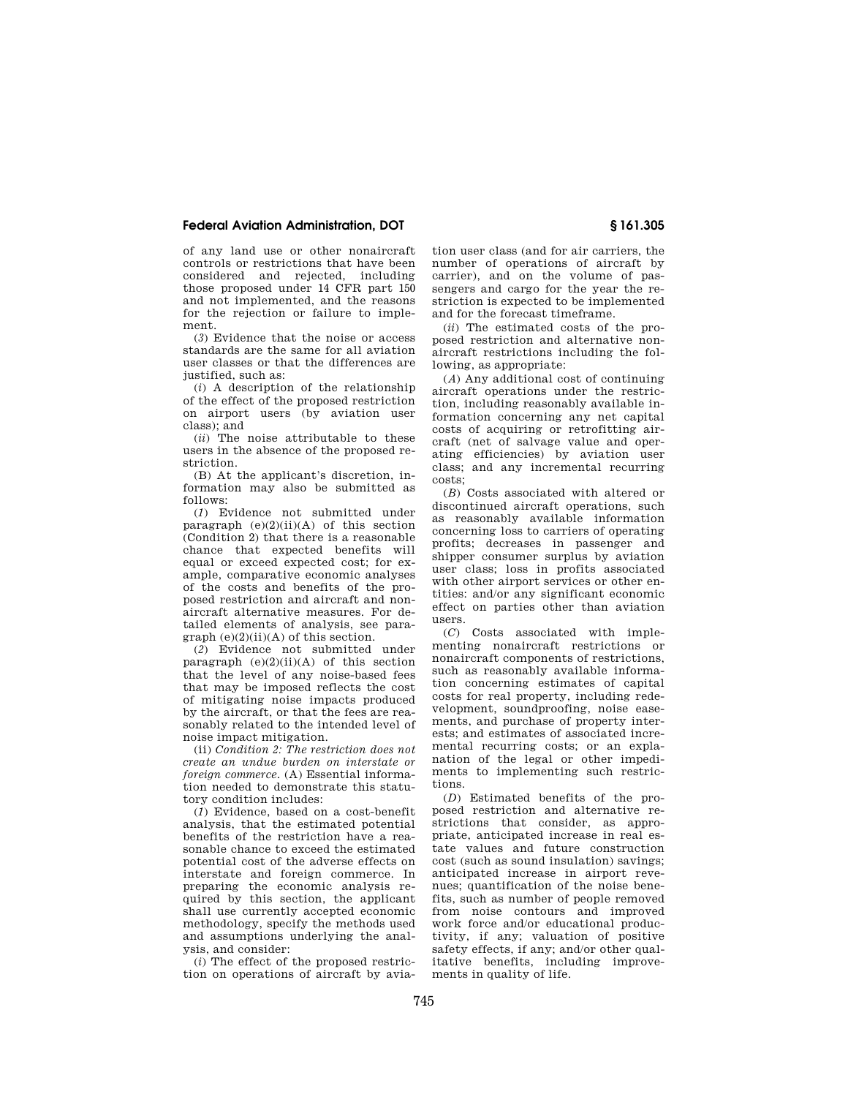of any land use or other nonaircraft controls or restrictions that have been considered and rejected, including those proposed under 14 CFR part 150 and not implemented, and the reasons for the rejection or failure to implement.

(*3*) Evidence that the noise or access standards are the same for all aviation user classes or that the differences are justified, such as:

(*i*) A description of the relationship of the effect of the proposed restriction on airport users (by aviation user class); and

(*ii*) The noise attributable to these users in the absence of the proposed restriction.

(B) At the applicant's discretion, information may also be submitted as follows:

(*1*) Evidence not submitted under paragraph  $(e)(2)(ii)(A)$  of this section (Condition 2) that there is a reasonable chance that expected benefits will equal or exceed expected cost; for example, comparative economic analyses of the costs and benefits of the proposed restriction and aircraft and nonaircraft alternative measures. For detailed elements of analysis, see paragraph (e)(2)(ii)(A) of this section.

(*2*) Evidence not submitted under paragraph  $(e)(2)(ii)(A)$  of this section that the level of any noise-based fees that may be imposed reflects the cost of mitigating noise impacts produced by the aircraft, or that the fees are reasonably related to the intended level of noise impact mitigation.

(ii) *Condition 2: The restriction does not create an undue burden on interstate or foreign commerce.* (A) Essential information needed to demonstrate this statutory condition includes:

(*1*) Evidence, based on a cost-benefit analysis, that the estimated potential benefits of the restriction have a reasonable chance to exceed the estimated potential cost of the adverse effects on interstate and foreign commerce. In preparing the economic analysis required by this section, the applicant shall use currently accepted economic methodology, specify the methods used and assumptions underlying the analysis, and consider:

(*i*) The effect of the proposed restriction on operations of aircraft by avia-

tion user class (and for air carriers, the number of operations of aircraft by carrier), and on the volume of passengers and cargo for the year the restriction is expected to be implemented and for the forecast timeframe.

(*ii*) The estimated costs of the proposed restriction and alternative nonaircraft restrictions including the following, as appropriate:

(*A*) Any additional cost of continuing aircraft operations under the restriction, including reasonably available information concerning any net capital costs of acquiring or retrofitting aircraft (net of salvage value and operating efficiencies) by aviation user class; and any incremental recurring costs;

(*B*) Costs associated with altered or discontinued aircraft operations, such as reasonably available information concerning loss to carriers of operating profits; decreases in passenger and shipper consumer surplus by aviation user class; loss in profits associated with other airport services or other entities: and/or any significant economic effect on parties other than aviation users.

(*C*) Costs associated with implementing nonaircraft restrictions or nonaircraft components of restrictions, such as reasonably available information concerning estimates of capital costs for real property, including redevelopment, soundproofing, noise easements, and purchase of property interests; and estimates of associated incremental recurring costs; or an explanation of the legal or other impediments to implementing such restrictions.

(*D*) Estimated benefits of the proposed restriction and alternative restrictions that consider, as appropriate, anticipated increase in real estate values and future construction cost (such as sound insulation) savings; anticipated increase in airport revenues; quantification of the noise benefits, such as number of people removed from noise contours and improved work force and/or educational productivity, if any; valuation of positive safety effects, if any; and/or other qualitative benefits, including improvements in quality of life.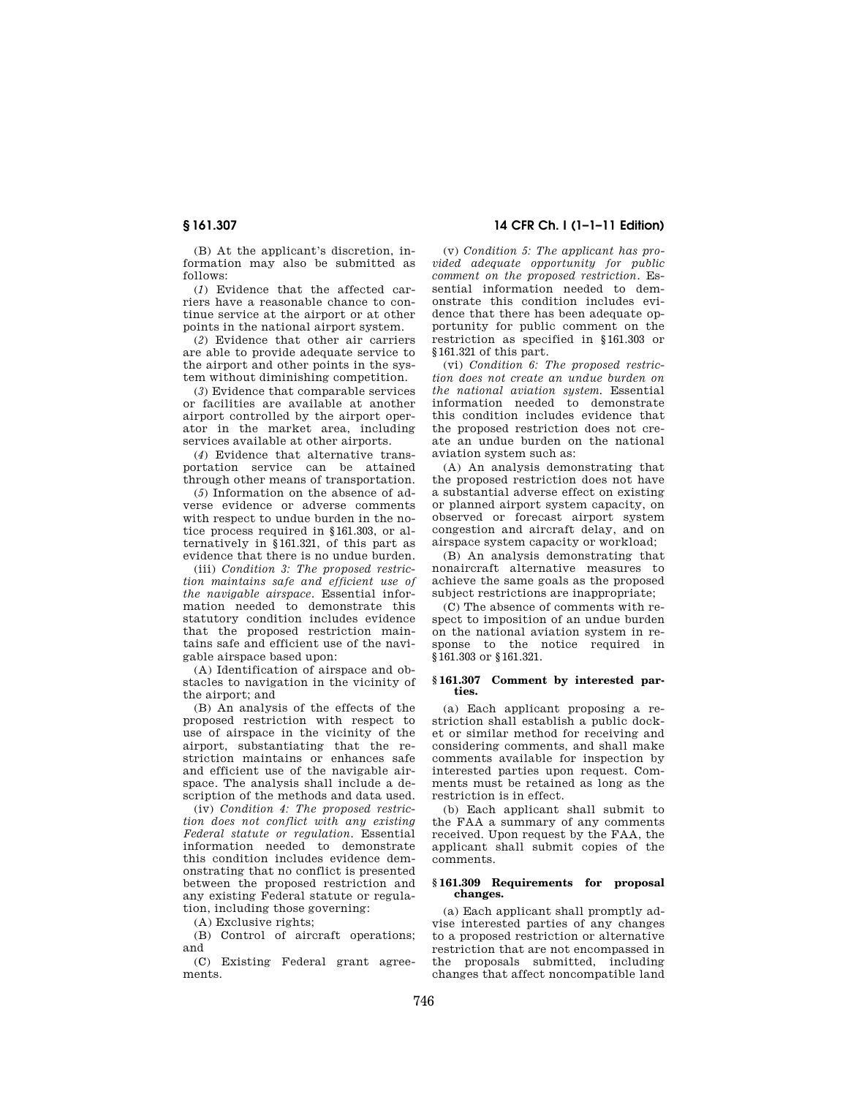(B) At the applicant's discretion, information may also be submitted as follows:

(*1*) Evidence that the affected carriers have a reasonable chance to continue service at the airport or at other points in the national airport system.

(*2*) Evidence that other air carriers are able to provide adequate service to the airport and other points in the system without diminishing competition.

(*3*) Evidence that comparable services or facilities are available at another airport controlled by the airport operator in the market area, including services available at other airports.

(*4*) Evidence that alternative transportation service can be attained through other means of transportation.

(*5*) Information on the absence of adverse evidence or adverse comments with respect to undue burden in the notice process required in §161.303, or alternatively in §161.321, of this part as evidence that there is no undue burden.

(iii) *Condition 3: The proposed restriction maintains safe and efficient use of the navigable airspace.* Essential information needed to demonstrate this statutory condition includes evidence that the proposed restriction maintains safe and efficient use of the navigable airspace based upon:

(A) Identification of airspace and obstacles to navigation in the vicinity of the airport; and

(B) An analysis of the effects of the proposed restriction with respect to use of airspace in the vicinity of the airport, substantiating that the restriction maintains or enhances safe and efficient use of the navigable airspace. The analysis shall include a description of the methods and data used.

(iv) *Condition 4: The proposed restriction does not conflict with any existing Federal statute or regulation.* Essential information needed to demonstrate this condition includes evidence demonstrating that no conflict is presented between the proposed restriction and any existing Federal statute or regulation, including those governing:

(A) Exclusive rights;

(B) Control of aircraft operations; and

(C) Existing Federal grant agreements.

# **§ 161.307 14 CFR Ch. I (1–1–11 Edition)**

(v) *Condition 5: The applicant has provided adequate opportunity for public comment on the proposed restriction.* Essential information needed to demonstrate this condition includes evidence that there has been adequate opportunity for public comment on the restriction as specified in §161.303 or §161.321 of this part.

(vi) *Condition 6: The proposed restriction does not create an undue burden on the national aviation system.* Essential information needed to demonstrate this condition includes evidence that the proposed restriction does not create an undue burden on the national aviation system such as:

(A) An analysis demonstrating that the proposed restriction does not have a substantial adverse effect on existing or planned airport system capacity, on observed or forecast airport system congestion and aircraft delay, and on airspace system capacity or workload;

(B) An analysis demonstrating that nonaircraft alternative measures to achieve the same goals as the proposed subject restrictions are inappropriate;

(C) The absence of comments with respect to imposition of an undue burden on the national aviation system in response to the notice required in §161.303 or §161.321.

### **§ 161.307 Comment by interested parties.**

(a) Each applicant proposing a restriction shall establish a public docket or similar method for receiving and considering comments, and shall make comments available for inspection by interested parties upon request. Comments must be retained as long as the restriction is in effect.

(b) Each applicant shall submit to the FAA a summary of any comments received. Upon request by the FAA, the applicant shall submit copies of the comments.

## **§ 161.309 Requirements for proposal changes.**

(a) Each applicant shall promptly advise interested parties of any changes to a proposed restriction or alternative restriction that are not encompassed in the proposals submitted, including changes that affect noncompatible land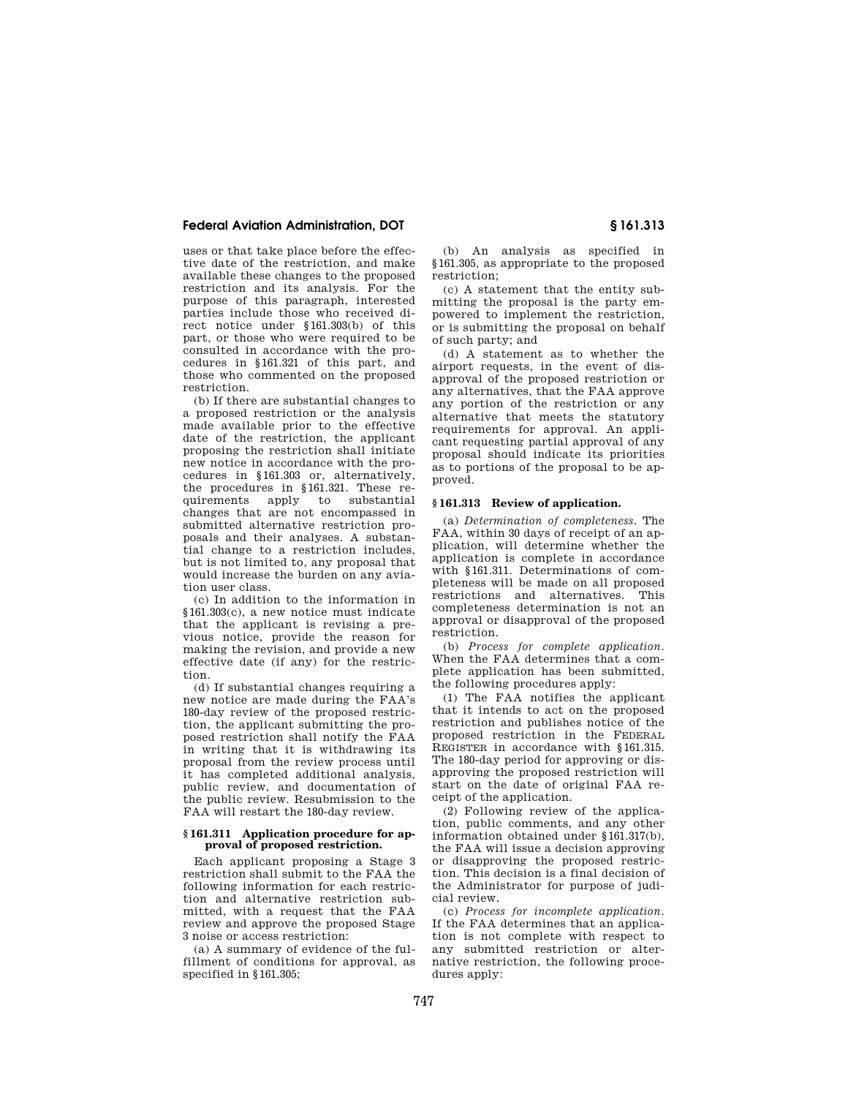uses or that take place before the effective date of the restriction, and make available these changes to the proposed restriction and its analysis. For the purpose of this paragraph, interested parties include those who received direct notice under §161.303(b) of this part, or those who were required to be consulted in accordance with the procedures in §161.321 of this part, and those who commented on the proposed restriction.

(b) If there are substantial changes to a proposed restriction or the analysis made available prior to the effective date of the restriction, the applicant proposing the restriction shall initiate new notice in accordance with the procedures in §161.303 or, alternatively, the procedures in §161.321. These re-<br>quirements apply to substantial quirements apply to changes that are not encompassed in submitted alternative restriction proposals and their analyses. A substantial change to a restriction includes, but is not limited to, any proposal that would increase the burden on any aviation user class.

(c) In addition to the information in §161.303(c), a new notice must indicate that the applicant is revising a previous notice, provide the reason for making the revision, and provide a new effective date (if any) for the restriction.

(d) If substantial changes requiring a new notice are made during the FAA's 180-day review of the proposed restriction, the applicant submitting the proposed restriction shall notify the FAA in writing that it is withdrawing its proposal from the review process until it has completed additional analysis, public review, and documentation of the public review. Resubmission to the FAA will restart the 180-day review.

#### **§ 161.311 Application procedure for approval of proposed restriction.**

Each applicant proposing a Stage 3 restriction shall submit to the FAA the following information for each restriction and alternative restriction submitted, with a request that the FAA review and approve the proposed Stage 3 noise or access restriction:

(a) A summary of evidence of the fulfillment of conditions for approval, as specified in §161.305;

(b) An analysis as specified in §161.305, as appropriate to the proposed restriction;

(c) A statement that the entity submitting the proposal is the party empowered to implement the restriction, or is submitting the proposal on behalf of such party; and

(d) A statement as to whether the airport requests, in the event of disapproval of the proposed restriction or any alternatives, that the FAA approve any portion of the restriction or any alternative that meets the statutory requirements for approval. An applicant requesting partial approval of any proposal should indicate its priorities as to portions of the proposal to be approved.

## **§ 161.313 Review of application.**

(a) *Determination of completeness.* The FAA, within 30 days of receipt of an application, will determine whether the application is complete in accordance with §161.311. Determinations of completeness will be made on all proposed restrictions and alternatives. This completeness determination is not an approval or disapproval of the proposed restriction.

(b) *Process for complete application.*  When the FAA determines that a complete application has been submitted, the following procedures apply:

(1) The FAA notifies the applicant that it intends to act on the proposed restriction and publishes notice of the proposed restriction in the FEDERAL REGISTER in accordance with §161.315. The 180-day period for approving or disapproving the proposed restriction will start on the date of original FAA receipt of the application.

(2) Following review of the application, public comments, and any other information obtained under §161.317(b), the FAA will issue a decision approving or disapproving the proposed restriction. This decision is a final decision of the Administrator for purpose of judicial review.

(c) *Process for incomplete application.*  If the FAA determines that an application is not complete with respect to any submitted restriction or alternative restriction, the following procedures apply: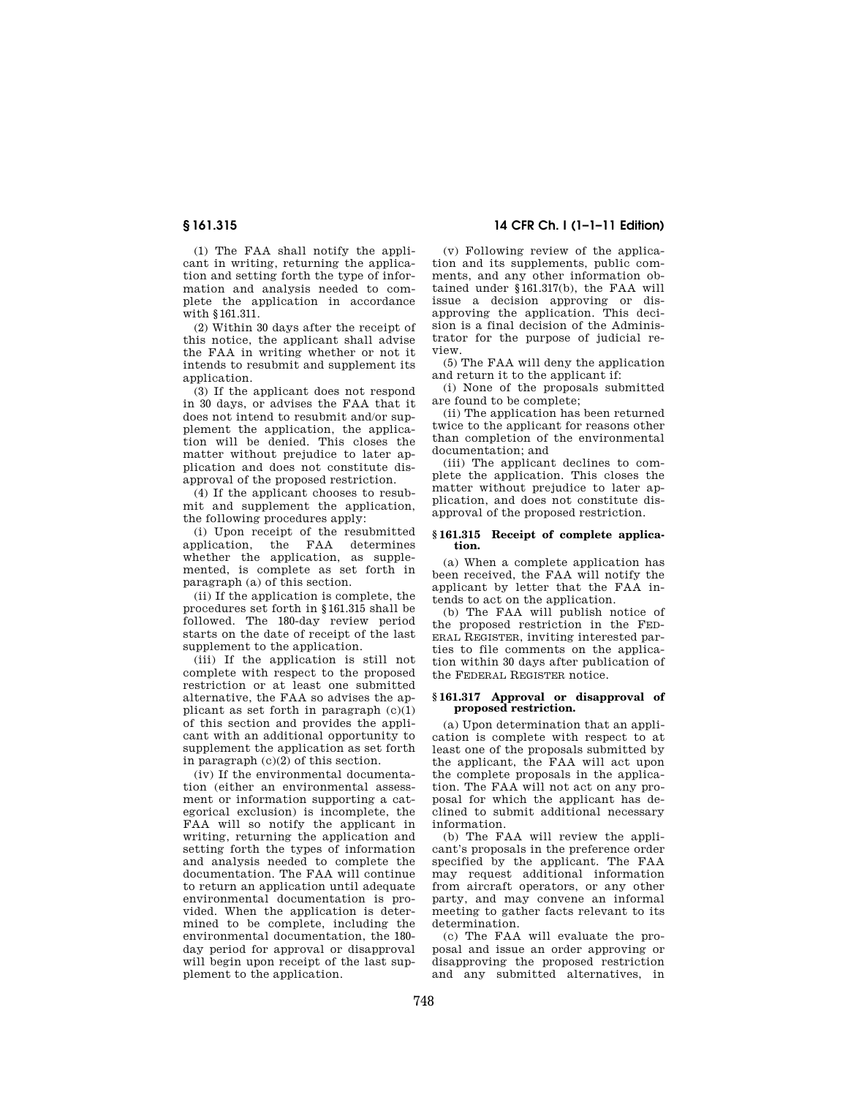(1) The FAA shall notify the applicant in writing, returning the application and setting forth the type of information and analysis needed to complete the application in accordance with §161.311.

(2) Within 30 days after the receipt of this notice, the applicant shall advise the FAA in writing whether or not it intends to resubmit and supplement its application.

(3) If the applicant does not respond in 30 days, or advises the FAA that it does not intend to resubmit and/or supplement the application, the application will be denied. This closes the matter without prejudice to later application and does not constitute disapproval of the proposed restriction.

(4) If the applicant chooses to resubmit and supplement the application, the following procedures apply:

(i) Upon receipt of the resubmitted application, the FAA determines whether the application, as supplemented, is complete as set forth in paragraph (a) of this section.

(ii) If the application is complete, the procedures set forth in §161.315 shall be followed. The 180-day review period starts on the date of receipt of the last supplement to the application.

(iii) If the application is still not complete with respect to the proposed restriction or at least one submitted alternative, the FAA so advises the applicant as set forth in paragraph  $(c)(1)$ of this section and provides the applicant with an additional opportunity to supplement the application as set forth in paragraph (c)(2) of this section.

(iv) If the environmental documentation (either an environmental assessment or information supporting a categorical exclusion) is incomplete, the FAA will so notify the applicant in writing, returning the application and setting forth the types of information and analysis needed to complete the documentation. The FAA will continue to return an application until adequate environmental documentation is provided. When the application is determined to be complete, including the environmental documentation, the 180 day period for approval or disapproval will begin upon receipt of the last supplement to the application.

# **§ 161.315 14 CFR Ch. I (1–1–11 Edition)**

(v) Following review of the application and its supplements, public comments, and any other information obtained under §161.317(b), the FAA will issue a decision approving or disapproving the application. This decision is a final decision of the Administrator for the purpose of judicial review.

(5) The FAA will deny the application and return it to the applicant if:

(i) None of the proposals submitted are found to be complete;

(ii) The application has been returned twice to the applicant for reasons other than completion of the environmental documentation; and

(iii) The applicant declines to complete the application. This closes the matter without prejudice to later application, and does not constitute disapproval of the proposed restriction.

#### **§ 161.315 Receipt of complete application.**

(a) When a complete application has been received, the FAA will notify the applicant by letter that the FAA intends to act on the application.

(b) The FAA will publish notice of the proposed restriction in the FED-ERAL REGISTER, inviting interested parties to file comments on the application within 30 days after publication of the FEDERAL REGISTER notice.

#### **§ 161.317 Approval or disapproval of proposed restriction.**

(a) Upon determination that an application is complete with respect to at least one of the proposals submitted by the applicant, the FAA will act upon the complete proposals in the application. The FAA will not act on any proposal for which the applicant has declined to submit additional necessary information.

(b) The FAA will review the applicant's proposals in the preference order specified by the applicant. The FAA may request additional information from aircraft operators, or any other party, and may convene an informal meeting to gather facts relevant to its determination.

(c) The FAA will evaluate the proposal and issue an order approving or disapproving the proposed restriction and any submitted alternatives, in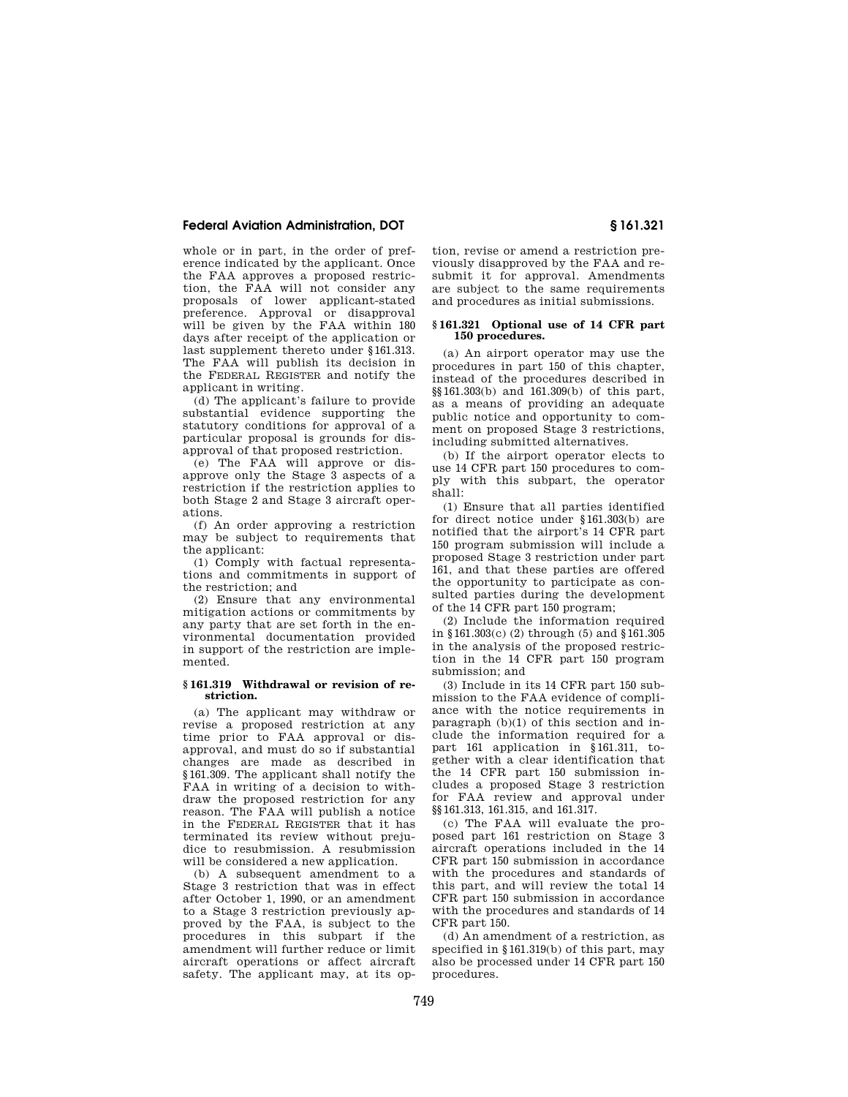whole or in part, in the order of preference indicated by the applicant. Once the FAA approves a proposed restriction, the FAA will not consider any proposals of lower applicant-stated preference. Approval or disapproval will be given by the FAA within 180 days after receipt of the application or last supplement thereto under §161.313. The FAA will publish its decision in the FEDERAL REGISTER and notify the applicant in writing.

(d) The applicant's failure to provide substantial evidence supporting the statutory conditions for approval of a particular proposal is grounds for disapproval of that proposed restriction.

(e) The FAA will approve or disapprove only the Stage 3 aspects of a restriction if the restriction applies to both Stage 2 and Stage 3 aircraft operations.

(f) An order approving a restriction may be subject to requirements that the applicant:

(1) Comply with factual representations and commitments in support of the restriction; and

(2) Ensure that any environmental mitigation actions or commitments by any party that are set forth in the environmental documentation provided in support of the restriction are implemented.

## **§ 161.319 Withdrawal or revision of restriction.**

(a) The applicant may withdraw or revise a proposed restriction at any time prior to FAA approval or disapproval, and must do so if substantial changes are made as described in §161.309. The applicant shall notify the FAA in writing of a decision to withdraw the proposed restriction for any reason. The FAA will publish a notice in the FEDERAL REGISTER that it has terminated its review without prejudice to resubmission. A resubmission will be considered a new application.

(b) A subsequent amendment to a Stage 3 restriction that was in effect after October 1, 1990, or an amendment to a Stage 3 restriction previously approved by the FAA, is subject to the procedures in this subpart if the amendment will further reduce or limit aircraft operations or affect aircraft safety. The applicant may, at its op-

tion, revise or amend a restriction previously disapproved by the FAA and resubmit it for approval. Amendments are subject to the same requirements and procedures as initial submissions.

#### **§ 161.321 Optional use of 14 CFR part 150 procedures.**

(a) An airport operator may use the procedures in part 150 of this chapter, instead of the procedures described in §§161.303(b) and 161.309(b) of this part, as a means of providing an adequate public notice and opportunity to comment on proposed Stage 3 restrictions, including submitted alternatives.

(b) If the airport operator elects to use 14 CFR part 150 procedures to comply with this subpart, the operator shall:

(1) Ensure that all parties identified for direct notice under §161.303(b) are notified that the airport's 14 CFR part 150 program submission will include a proposed Stage 3 restriction under part 161, and that these parties are offered the opportunity to participate as consulted parties during the development of the 14 CFR part 150 program;

(2) Include the information required in §161.303(c) (2) through (5) and §161.305 in the analysis of the proposed restriction in the 14 CFR part 150 program submission; and

(3) Include in its 14 CFR part 150 submission to the FAA evidence of compliance with the notice requirements in paragraph (b)(1) of this section and include the information required for a part 161 application in §161.311, together with a clear identification that the 14 CFR part 150 submission includes a proposed Stage 3 restriction for FAA review and approval under §§161.313, 161.315, and 161.317.

(c) The FAA will evaluate the proposed part 161 restriction on Stage 3 aircraft operations included in the 14 CFR part 150 submission in accordance with the procedures and standards of this part, and will review the total 14 CFR part 150 submission in accordance with the procedures and standards of 14 CFR part 150.

(d) An amendment of a restriction, as specified in §161.319(b) of this part, may also be processed under 14 CFR part 150 procedures.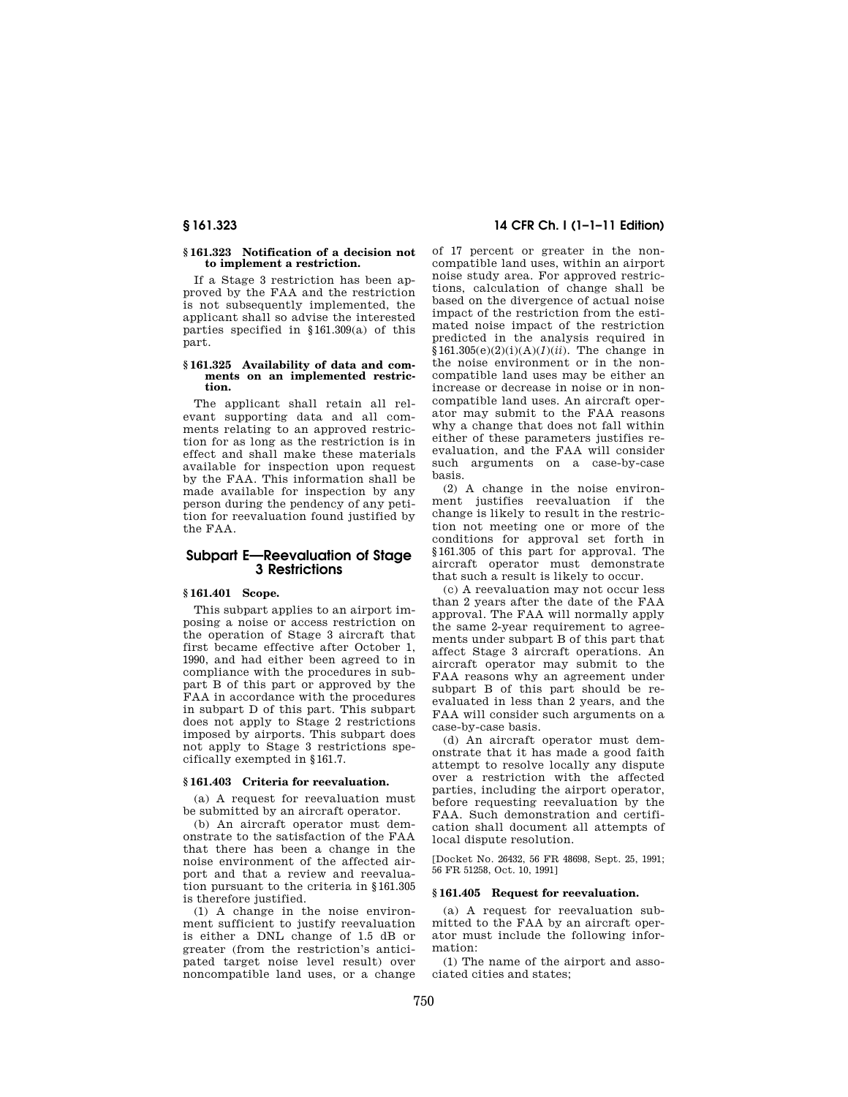## **§ 161.323 Notification of a decision not to implement a restriction.**

If a Stage 3 restriction has been approved by the FAA and the restriction is not subsequently implemented, the applicant shall so advise the interested parties specified in §161.309(a) of this part.

## **§ 161.325 Availability of data and comments on an implemented restriction.**

The applicant shall retain all relevant supporting data and all comments relating to an approved restriction for as long as the restriction is in effect and shall make these materials available for inspection upon request by the FAA. This information shall be made available for inspection by any person during the pendency of any petition for reevaluation found justified by the FAA.

# **Subpart E—Reevaluation of Stage 3 Restrictions**

# **§ 161.401 Scope.**

This subpart applies to an airport imposing a noise or access restriction on the operation of Stage 3 aircraft that first became effective after October 1, 1990, and had either been agreed to in compliance with the procedures in subpart B of this part or approved by the FAA in accordance with the procedures in subpart D of this part. This subpart does not apply to Stage 2 restrictions imposed by airports. This subpart does not apply to Stage 3 restrictions specifically exempted in §161.7.

### **§ 161.403 Criteria for reevaluation.**

(a) A request for reevaluation must be submitted by an aircraft operator.

(b) An aircraft operator must demonstrate to the satisfaction of the FAA that there has been a change in the noise environment of the affected airport and that a review and reevaluation pursuant to the criteria in §161.305 is therefore justified.

(1) A change in the noise environment sufficient to justify reevaluation is either a DNL change of 1.5 dB or greater (from the restriction's anticipated target noise level result) over noncompatible land uses, or a change

# **§ 161.323 14 CFR Ch. I (1–1–11 Edition)**

of 17 percent or greater in the noncompatible land uses, within an airport noise study area. For approved restrictions, calculation of change shall be based on the divergence of actual noise impact of the restriction from the estimated noise impact of the restriction predicted in the analysis required in §161.305(e)(2)(i)(A)(*1*)(*ii*). The change in the noise environment or in the noncompatible land uses may be either an increase or decrease in noise or in noncompatible land uses. An aircraft operator may submit to the FAA reasons why a change that does not fall within either of these parameters justifies reevaluation, and the FAA will consider such arguments on a case-by-case basis.

(2) A change in the noise environment justifies reevaluation if the change is likely to result in the restriction not meeting one or more of the conditions for approval set forth in §161.305 of this part for approval. The aircraft operator must demonstrate that such a result is likely to occur.

(c) A reevaluation may not occur less than 2 years after the date of the FAA approval. The FAA will normally apply the same 2-year requirement to agreements under subpart B of this part that affect Stage 3 aircraft operations. An aircraft operator may submit to the FAA reasons why an agreement under subpart B of this part should be reevaluated in less than 2 years, and the FAA will consider such arguments on a case-by-case basis.

(d) An aircraft operator must demonstrate that it has made a good faith attempt to resolve locally any dispute over a restriction with the affected parties, including the airport operator, before requesting reevaluation by the FAA. Such demonstration and certification shall document all attempts of local dispute resolution.

[Docket No. 26432, 56 FR 48698, Sept. 25, 1991; 56 FR 51258, Oct. 10, 1991]

## **§ 161.405 Request for reevaluation.**

(a) A request for reevaluation submitted to the FAA by an aircraft operator must include the following information:

(1) The name of the airport and associated cities and states;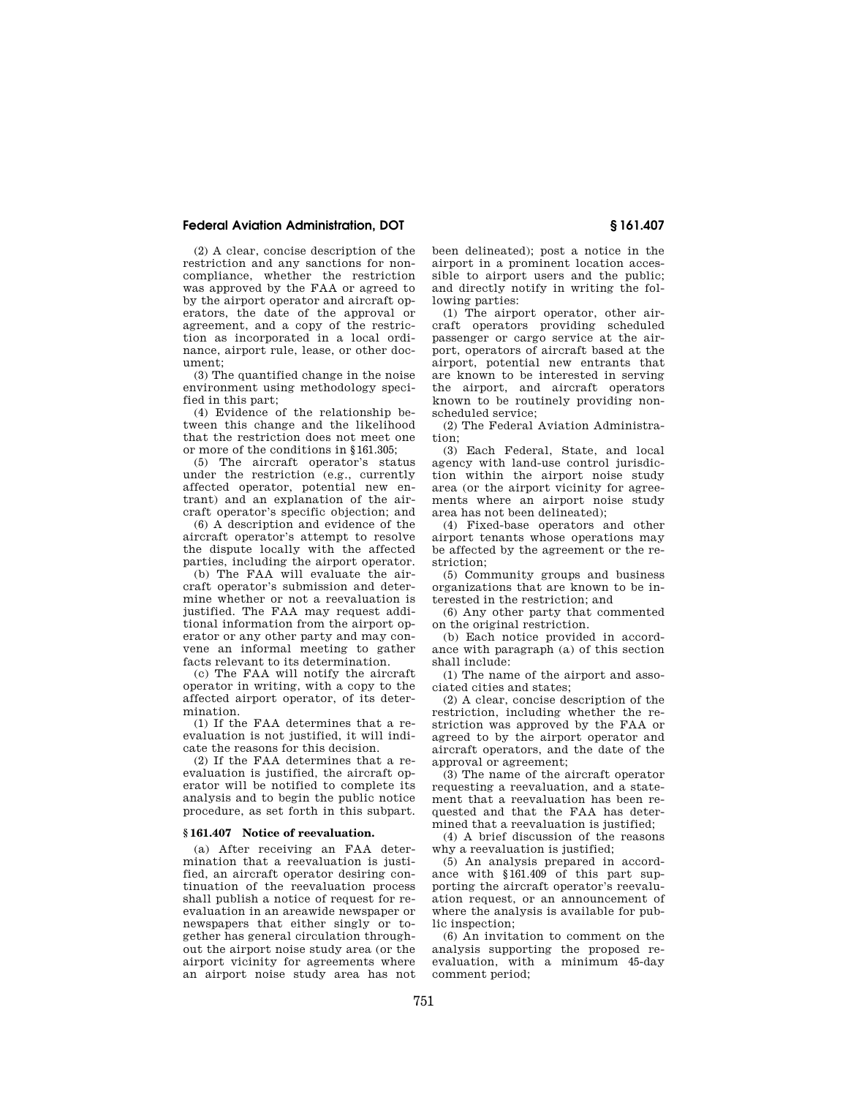(2) A clear, concise description of the restriction and any sanctions for noncompliance, whether the restriction was approved by the FAA or agreed to by the airport operator and aircraft operators, the date of the approval or agreement, and a copy of the restriction as incorporated in a local ordinance, airport rule, lease, or other document;

(3) The quantified change in the noise environment using methodology specified in this part;

(4) Evidence of the relationship between this change and the likelihood that the restriction does not meet one or more of the conditions in §161.305;

(5) The aircraft operator's status under the restriction (e.g., currently affected operator, potential new entrant) and an explanation of the aircraft operator's specific objection; and

(6) A description and evidence of the aircraft operator's attempt to resolve the dispute locally with the affected parties, including the airport operator.

(b) The FAA will evaluate the aircraft operator's submission and determine whether or not a reevaluation is justified. The FAA may request additional information from the airport operator or any other party and may convene an informal meeting to gather facts relevant to its determination.

(c) The FAA will notify the aircraft operator in writing, with a copy to the affected airport operator, of its determination.

(1) If the FAA determines that a reevaluation is not justified, it will indicate the reasons for this decision.

(2) If the FAA determines that a reevaluation is justified, the aircraft operator will be notified to complete its analysis and to begin the public notice procedure, as set forth in this subpart.

#### **§ 161.407 Notice of reevaluation.**

(a) After receiving an FAA determination that a reevaluation is justified, an aircraft operator desiring continuation of the reevaluation process shall publish a notice of request for reevaluation in an areawide newspaper or newspapers that either singly or together has general circulation throughout the airport noise study area (or the airport vicinity for agreements where an airport noise study area has not been delineated); post a notice in the airport in a prominent location accessible to airport users and the public; and directly notify in writing the following parties:

(1) The airport operator, other aircraft operators providing scheduled passenger or cargo service at the airport, operators of aircraft based at the airport, potential new entrants that are known to be interested in serving the airport, and aircraft operators known to be routinely providing nonscheduled service;

(2) The Federal Aviation Administration;

(3) Each Federal, State, and local agency with land-use control jurisdiction within the airport noise study area (or the airport vicinity for agreements where an airport noise study area has not been delineated);

(4) Fixed-base operators and other airport tenants whose operations may be affected by the agreement or the restriction;

(5) Community groups and business organizations that are known to be interested in the restriction; and

(6) Any other party that commented on the original restriction.

(b) Each notice provided in accordance with paragraph (a) of this section shall include:

(1) The name of the airport and associated cities and states;

(2) A clear, concise description of the restriction, including whether the restriction was approved by the FAA or agreed to by the airport operator and aircraft operators, and the date of the approval or agreement;

(3) The name of the aircraft operator requesting a reevaluation, and a statement that a reevaluation has been requested and that the FAA has determined that a reevaluation is justified;

(4) A brief discussion of the reasons why a reevaluation is justified:

(5) An analysis prepared in accordance with §161.409 of this part supporting the aircraft operator's reevaluation request, or an announcement of where the analysis is available for public inspection;

(6) An invitation to comment on the analysis supporting the proposed reevaluation, with a minimum 45-day comment period;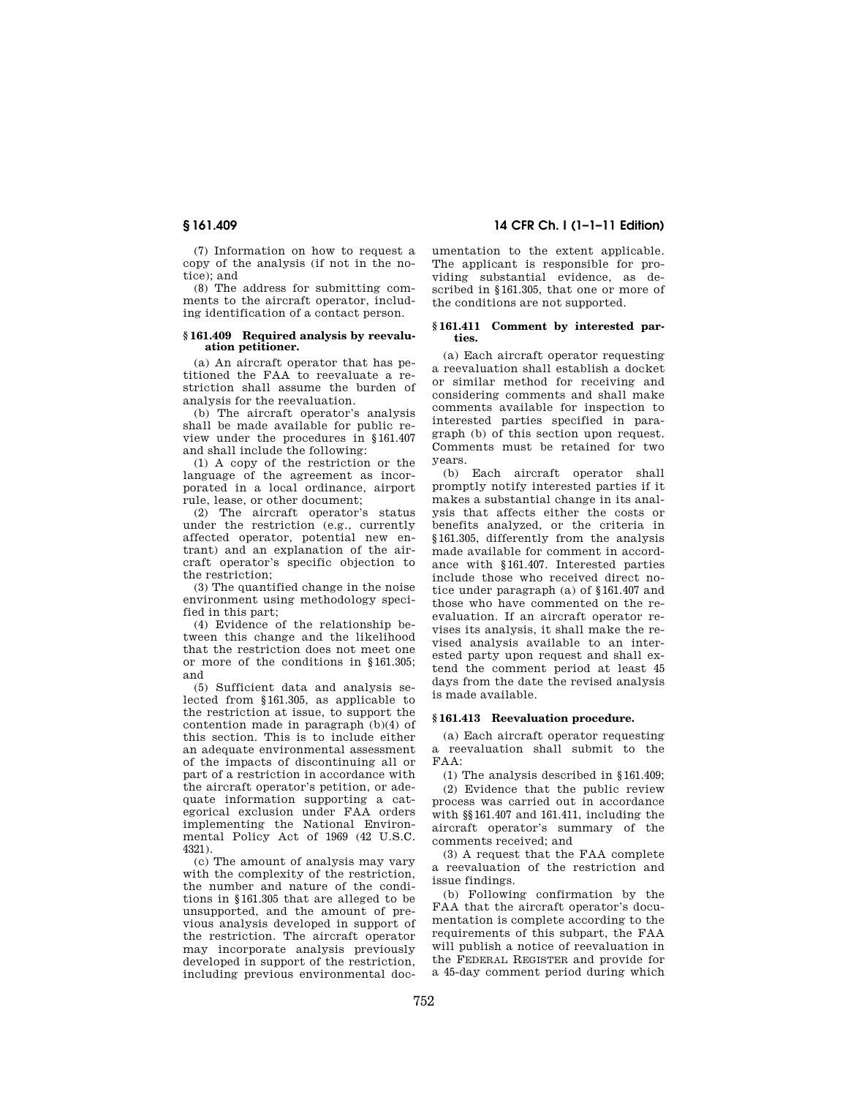(7) Information on how to request a copy of the analysis (if not in the notice); and

(8) The address for submitting comments to the aircraft operator, including identification of a contact person.

#### **§ 161.409 Required analysis by reevaluation petitioner.**

(a) An aircraft operator that has petitioned the FAA to reevaluate a restriction shall assume the burden of analysis for the reevaluation.

(b) The aircraft operator's analysis shall be made available for public review under the procedures in §161.407 and shall include the following:

(1) A copy of the restriction or the language of the agreement as incorporated in a local ordinance, airport rule, lease, or other document;

(2) The aircraft operator's status under the restriction (e.g., currently affected operator, potential new entrant) and an explanation of the aircraft operator's specific objection to the restriction;

(3) The quantified change in the noise environment using methodology specified in this part;

(4) Evidence of the relationship between this change and the likelihood that the restriction does not meet one or more of the conditions in §161.305; and

(5) Sufficient data and analysis selected from §161.305, as applicable to the restriction at issue, to support the contention made in paragraph (b)(4) of this section. This is to include either an adequate environmental assessment of the impacts of discontinuing all or part of a restriction in accordance with the aircraft operator's petition, or adequate information supporting a categorical exclusion under FAA orders implementing the National Environmental Policy Act of 1969 (42 U.S.C. 4321).

(c) The amount of analysis may vary with the complexity of the restriction, the number and nature of the conditions in §161.305 that are alleged to be unsupported, and the amount of previous analysis developed in support of the restriction. The aircraft operator may incorporate analysis previously developed in support of the restriction, including previous environmental doc-

# **§ 161.409 14 CFR Ch. I (1–1–11 Edition)**

umentation to the extent applicable. The applicant is responsible for providing substantial evidence, as described in §161.305, that one or more of the conditions are not supported.

## **§ 161.411 Comment by interested parties.**

(a) Each aircraft operator requesting a reevaluation shall establish a docket or similar method for receiving and considering comments and shall make comments available for inspection to interested parties specified in paragraph (b) of this section upon request. Comments must be retained for two years.

(b) Each aircraft operator shall promptly notify interested parties if it makes a substantial change in its analysis that affects either the costs or benefits analyzed, or the criteria in §161.305, differently from the analysis made available for comment in accordance with §161.407. Interested parties include those who received direct notice under paragraph (a) of §161.407 and those who have commented on the reevaluation. If an aircraft operator revises its analysis, it shall make the revised analysis available to an interested party upon request and shall extend the comment period at least 45 days from the date the revised analysis is made available.

#### **§ 161.413 Reevaluation procedure.**

(a) Each aircraft operator requesting a reevaluation shall submit to the FAA:

(1) The analysis described in §161.409;

(2) Evidence that the public review process was carried out in accordance with §§161.407 and 161.411, including the aircraft operator's summary of the comments received; and

(3) A request that the FAA complete a reevaluation of the restriction and issue findings.

(b) Following confirmation by the FAA that the aircraft operator's documentation is complete according to the requirements of this subpart, the FAA will publish a notice of reevaluation in the FEDERAL REGISTER and provide for a 45-day comment period during which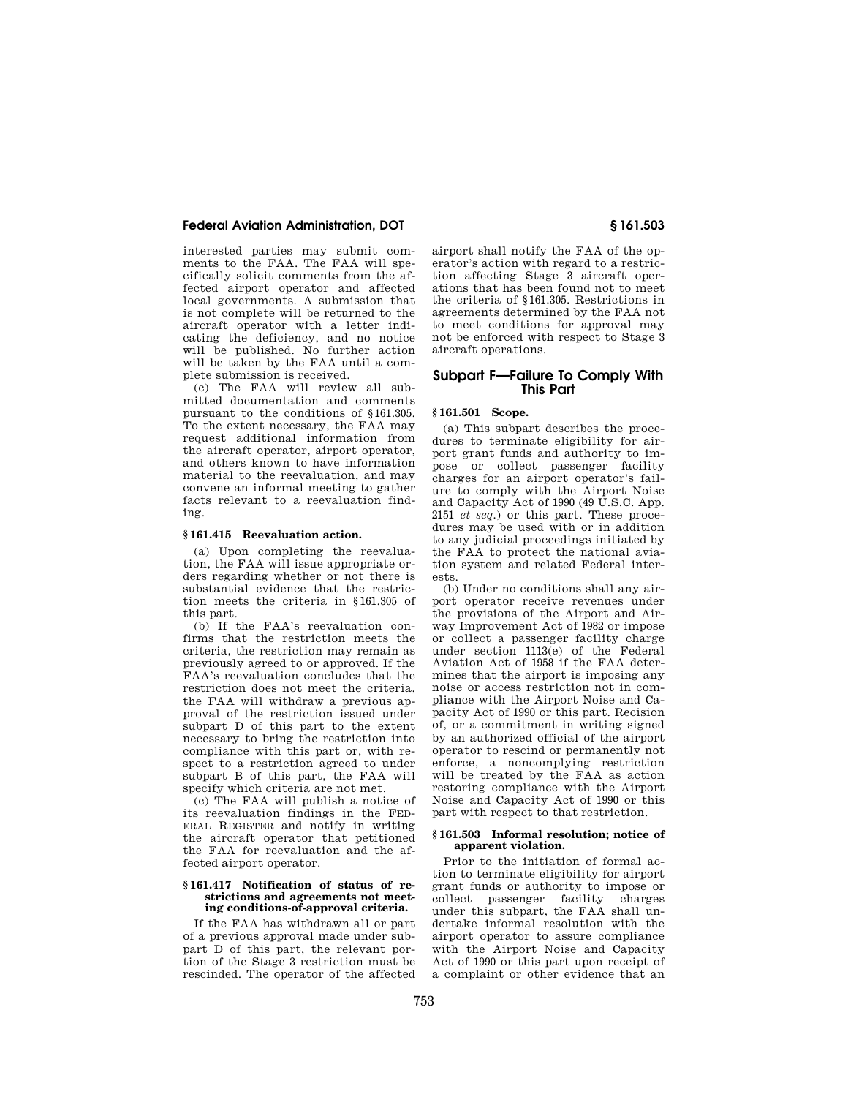interested parties may submit comments to the FAA. The FAA will specifically solicit comments from the affected airport operator and affected local governments. A submission that is not complete will be returned to the aircraft operator with a letter indicating the deficiency, and no notice will be published. No further action will be taken by the FAA until a complete submission is received.

(c) The FAA will review all submitted documentation and comments pursuant to the conditions of §161.305. To the extent necessary, the FAA may request additional information from the aircraft operator, airport operator, and others known to have information material to the reevaluation, and may convene an informal meeting to gather facts relevant to a reevaluation finding.

## **§ 161.415 Reevaluation action.**

(a) Upon completing the reevaluation, the FAA will issue appropriate orders regarding whether or not there is substantial evidence that the restriction meets the criteria in §161.305 of this part.

(b) If the FAA's reevaluation confirms that the restriction meets the criteria, the restriction may remain as previously agreed to or approved. If the FAA's reevaluation concludes that the restriction does not meet the criteria, the FAA will withdraw a previous approval of the restriction issued under subpart D of this part to the extent necessary to bring the restriction into compliance with this part or, with respect to a restriction agreed to under subpart B of this part, the FAA will specify which criteria are not met.

(c) The FAA will publish a notice of its reevaluation findings in the FED-ERAL REGISTER and notify in writing the aircraft operator that petitioned the FAA for reevaluation and the affected airport operator.

#### **§ 161.417 Notification of status of restrictions and agreements not meeting conditions-of-approval criteria.**

If the FAA has withdrawn all or part of a previous approval made under subpart D of this part, the relevant portion of the Stage 3 restriction must be rescinded. The operator of the affected airport shall notify the FAA of the operator's action with regard to a restriction affecting Stage 3 aircraft operations that has been found not to meet the criteria of §161.305. Restrictions in agreements determined by the FAA not to meet conditions for approval may not be enforced with respect to Stage 3 aircraft operations.

# **Subpart F—Failure To Comply With This Part**

## **§ 161.501 Scope.**

(a) This subpart describes the procedures to terminate eligibility for airport grant funds and authority to impose or collect passenger facility charges for an airport operator's failure to comply with the Airport Noise and Capacity Act of 1990 (49 U.S.C. App. 2151 *et seq.*) or this part. These procedures may be used with or in addition to any judicial proceedings initiated by the FAA to protect the national aviation system and related Federal interests.

(b) Under no conditions shall any airport operator receive revenues under the provisions of the Airport and Airway Improvement Act of 1982 or impose or collect a passenger facility charge under section 1113(e) of the Federal Aviation Act of 1958 if the FAA determines that the airport is imposing any noise or access restriction not in compliance with the Airport Noise and Capacity Act of 1990 or this part. Recision of, or a commitment in writing signed by an authorized official of the airport operator to rescind or permanently not enforce, a noncomplying restriction will be treated by the FAA as action restoring compliance with the Airport Noise and Capacity Act of 1990 or this part with respect to that restriction.

## **§ 161.503 Informal resolution; notice of apparent violation.**

Prior to the initiation of formal action to terminate eligibility for airport grant funds or authority to impose or collect passenger facility charges under this subpart, the FAA shall undertake informal resolution with the airport operator to assure compliance with the Airport Noise and Capacity Act of 1990 or this part upon receipt of a complaint or other evidence that an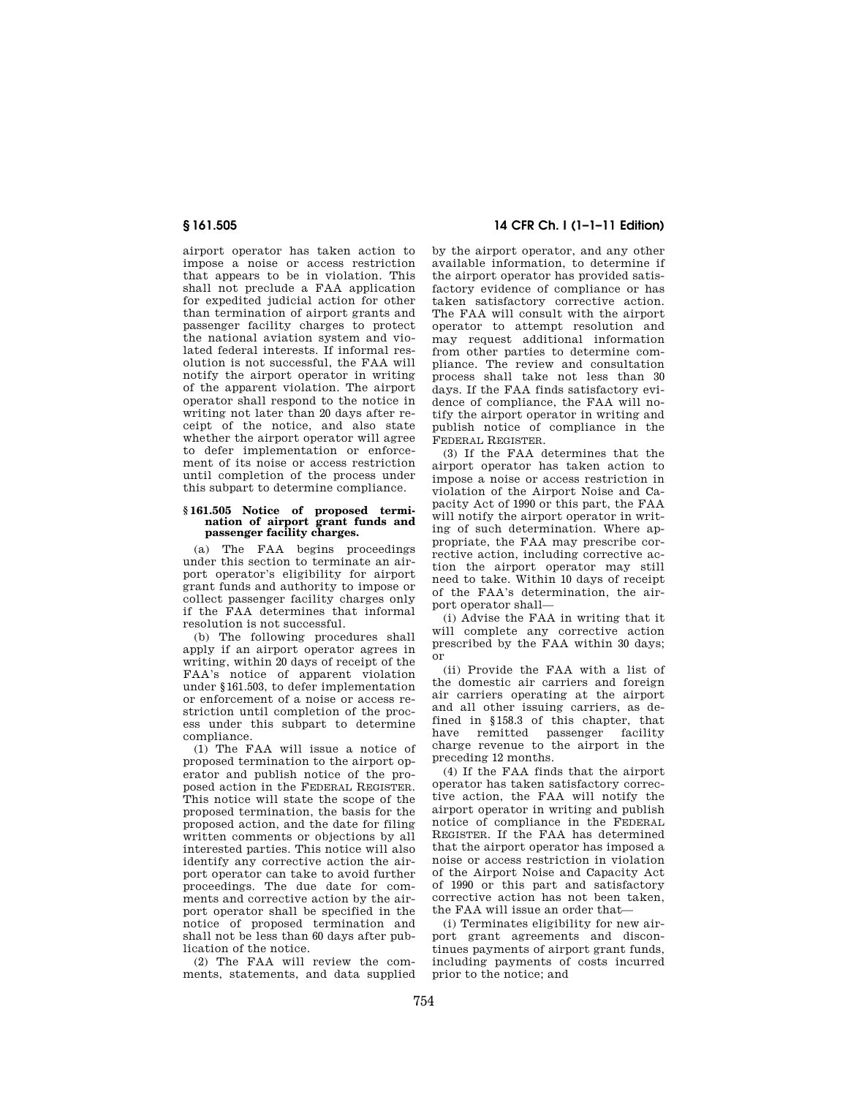airport operator has taken action to impose a noise or access restriction that appears to be in violation. This shall not preclude a FAA application for expedited judicial action for other than termination of airport grants and passenger facility charges to protect the national aviation system and violated federal interests. If informal resolution is not successful, the FAA will notify the airport operator in writing of the apparent violation. The airport operator shall respond to the notice in writing not later than 20 days after receipt of the notice, and also state whether the airport operator will agree to defer implementation or enforcement of its noise or access restriction until completion of the process under this subpart to determine compliance.

#### **§ 161.505 Notice of proposed termination of airport grant funds and passenger facility charges.**

(a) The FAA begins proceedings under this section to terminate an airport operator's eligibility for airport grant funds and authority to impose or collect passenger facility charges only if the FAA determines that informal resolution is not successful.

(b) The following procedures shall apply if an airport operator agrees in writing, within 20 days of receipt of the FAA's notice of apparent violation under §161.503, to defer implementation or enforcement of a noise or access restriction until completion of the process under this subpart to determine compliance.

(1) The FAA will issue a notice of proposed termination to the airport operator and publish notice of the proposed action in the FEDERAL REGISTER. This notice will state the scope of the proposed termination, the basis for the proposed action, and the date for filing written comments or objections by all interested parties. This notice will also identify any corrective action the airport operator can take to avoid further proceedings. The due date for comments and corrective action by the airport operator shall be specified in the notice of proposed termination and shall not be less than 60 days after publication of the notice.

(2) The FAA will review the comments, statements, and data supplied

# **§ 161.505 14 CFR Ch. I (1–1–11 Edition)**

by the airport operator, and any other available information, to determine if the airport operator has provided satisfactory evidence of compliance or has taken satisfactory corrective action. The FAA will consult with the airport operator to attempt resolution and may request additional information from other parties to determine compliance. The review and consultation process shall take not less than 30 days. If the FAA finds satisfactory evidence of compliance, the FAA will notify the airport operator in writing and publish notice of compliance in the FEDERAL REGISTER.

(3) If the FAA determines that the airport operator has taken action to impose a noise or access restriction in violation of the Airport Noise and Capacity Act of 1990 or this part, the FAA will notify the airport operator in writing of such determination. Where appropriate, the FAA may prescribe corrective action, including corrective action the airport operator may still need to take. Within 10 days of receipt of the FAA's determination, the airport operator shall—

(i) Advise the FAA in writing that it will complete any corrective action prescribed by the FAA within 30 days; or

(ii) Provide the FAA with a list of the domestic air carriers and foreign air carriers operating at the airport and all other issuing carriers, as defined in §158.3 of this chapter, that have remitted passenger facility charge revenue to the airport in the preceding 12 months.

(4) If the FAA finds that the airport operator has taken satisfactory corrective action, the FAA will notify the airport operator in writing and publish notice of compliance in the FEDERAL REGISTER. If the FAA has determined that the airport operator has imposed a noise or access restriction in violation of the Airport Noise and Capacity Act of 1990 or this part and satisfactory corrective action has not been taken, the FAA will issue an order that—

(i) Terminates eligibility for new airport grant agreements and discontinues payments of airport grant funds, including payments of costs incurred prior to the notice; and